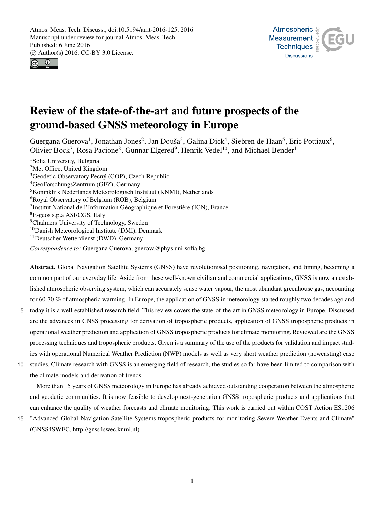



# Review of the state-of-the-art and future prospects of the ground-based GNSS meteorology in Europe

Guergana Guerova<sup>1</sup>, Jonathan Jones<sup>2</sup>, Jan Douša<sup>3</sup>, Galina Dick<sup>4</sup>, Siebren de Haan<sup>5</sup>, Eric Pottiaux<sup>6</sup>, Olivier Bock<sup>7</sup>, Rosa Pacione<sup>8</sup>, Gunnar Elgered<sup>9</sup>, Henrik Vedel<sup>10</sup>, and Michael Bender<sup>11</sup>

<sup>1</sup>Sofia University, Bulgaria Met Office, United Kingdom Geodetic Observatory Pecný (GOP), Czech Republic GeoForschungsZentrum (GFZ), Germany Koninklijk Nederlands Meteorologisch Instituut (KNMI), Netherlands <sup>6</sup>Royal Observatory of Belgium (ROB), Belgium Institut National de l'Information Géographique et Forestière (IGN), France E-geos s.p.a ASI/CGS, Italy <sup>9</sup>Chalmers University of Technology, Sweden <sup>10</sup>Danish Meteorological Institute (DMI), Denmark Deutscher Wetterdienst (DWD), Germany

*Correspondence to:* Guergana Guerova, guerova@phys.uni-sofia.bg

Abstract. Global Navigation Satellite Systems (GNSS) have revolutionised positioning, navigation, and timing, becoming a common part of our everyday life. Aside from these well-known civilian and commercial applications, GNSS is now an established atmospheric observing system, which can accurately sense water vapour, the most abundant greenhouse gas, accounting for 60-70 % of atmospheric warming. In Europe, the application of GNSS in meteorology started roughly two decades ago and

- 5 today it is a well-established research field. This review covers the state-of-the-art in GNSS meteorology in Europe. Discussed are the advances in GNSS processing for derivation of tropospheric products, application of GNSS tropospheric products in operational weather prediction and application of GNSS tropospheric products for climate monitoring. Reviewed are the GNSS processing techniques and tropospheric products. Given is a summary of the use of the products for validation and impact studies with operational Numerical Weather Prediction (NWP) models as well as very short weather prediction (nowcasting) case
- 10 studies. Climate research with GNSS is an emerging field of research, the studies so far have been limited to comparison with the climate models and derivation of trends.

More than 15 years of GNSS meteorology in Europe has already achieved outstanding cooperation between the atmospheric and geodetic communities. It is now feasible to develop next-generation GNSS tropospheric products and applications that can enhance the quality of weather forecasts and climate monitoring. This work is carried out within COST Action ES1206

15 "Advanced Global Navigation Satellite Systems tropospheric products for monitoring Severe Weather Events and Climate" (GNSS4SWEC, http://gnss4swec.knmi.nl).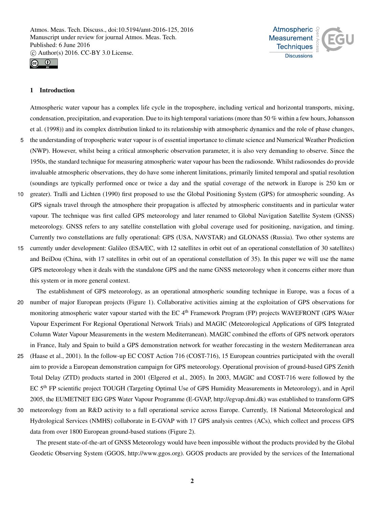



## 1 Introduction

Atmospheric water vapour has a complex life cycle in the troposphere, including vertical and horizontal transports, mixing, condensation, precipitation, and evaporation. Due to its high temporal variations (more than 50 % within a few hours, Johansson et al. (1998)) and its complex distribution linked to its relationship with atmospheric dynamics and the role of phase changes,

- 5 the understanding of tropospheric water vapour is of essential importance to climate science and Numerical Weather Prediction (NWP). However, whilst being a critical atmospheric observation parameter, it is also very demanding to observe. Since the 1950s, the standard technique for measuring atmospheric water vapour has been the radiosonde. Whilst radiosondes do provide invaluable atmospheric observations, they do have some inherent limitations, primarily limited temporal and spatial resolution (soundings are typically performed once or twice a day and the spatial coverage of the network in Europe is 250 km or
- 10 greater). Tralli and Lichten (1990) first proposed to use the Global Positioning System (GPS) for atmospheric sounding. As GPS signals travel through the atmosphere their propagation is affected by atmospheric constituents and in particular water vapour. The technique was first called GPS meteorology and later renamed to Global Navigation Satellite System (GNSS) meteorology. GNSS refers to any satellite constellation with global coverage used for positioning, navigation, and timing. Currently two constellations are fully operational: GPS (USA, NAVSTAR) and GLONASS (Russia). Two other systems are
- 15 currently under development: Galileo (ESA/EC, with 12 satellites in orbit out of an operational constellation of 30 satellites) and BeiDou (China, with 17 satellites in orbit out of an operational constellation of 35). In this paper we will use the name GPS meteorology when it deals with the standalone GPS and the name GNSS meteorology when it concerns either more than this system or in more general context.

The establishment of GPS meteorology, as an operational atmospheric sounding technique in Europe, was a focus of a 20 number of major European projects (Figure 1). Collaborative activities aiming at the exploitation of GPS observations for

- monitoring atmospheric water vapour started with the EC 4<sup>th</sup> Framework Program (FP) projects WAVEFRONT (GPS WAter Vapour Experiment For Regional Operational Network Trials) and MAGIC (Meteorological Applications of GPS Integrated Column Water Vapour Measurements in the western Mediterranean). MAGIC combined the efforts of GPS network operators in France, Italy and Spain to build a GPS demonstration network for weather forecasting in the western Mediterranean area
- 25 (Haase et al., 2001). In the follow-up EC COST Action 716 (COST-716), 15 European countries participated with the overall aim to provide a European demonstration campaign for GPS meteorology. Operational provision of ground-based GPS Zenith Total Delay (ZTD) products started in 2001 (Elgered et al., 2005). In 2003, MAGIC and COST-716 were followed by the EC 5th FP scientific project TOUGH (Targeting Optimal Use of GPS Humidity Measurements in Meteorology), and in April 2005, the EUMETNET EIG GPS Water Vapour Programme (E-GVAP, http://egvap.dmi.dk) was established to transform GPS
- 30 meteorology from an R&D activity to a full operational service across Europe. Currently, 18 National Meteorological and Hydrological Services (NMHS) collaborate in E-GVAP with 17 GPS analysis centres (ACs), which collect and process GPS data from over 1800 European ground-based stations (Figure 2).

The present state-of-the-art of GNSS Meteorology would have been impossible without the products provided by the Global Geodetic Observing System (GGOS, http://www.ggos.org). GGOS products are provided by the services of the International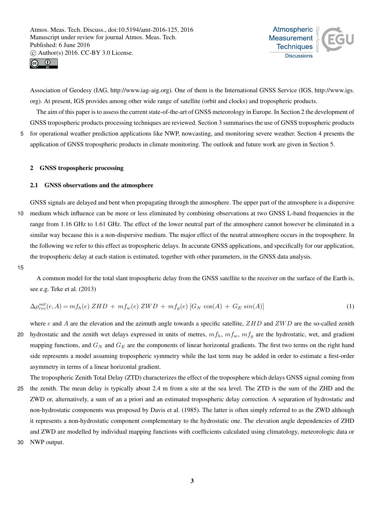



Association of Geodesy (IAG, http://www.iag-aig.org). One of them is the International GNSS Service (IGS, http://www.igs. org). At present, IGS provides among other wide range of satellite (orbit and clocks) and tropospheric products.

The aim of this paper is to assess the current state-of-the-art of GNSS meteorology in Europe. In Section 2 the development of GNSS tropospheric products processing techniques are reviewed. Section 3 summarises the use of GNSS tropospheric products 5 for operational weather prediction applications like NWP, nowcasting, and monitoring severe weather. Section 4 presents the

application of GNSS tropospheric products in climate monitoring. The outlook and future work are given in Section 5.

## 2 GNSS tropospheric processing

#### 2.1 GNSS observations and the atmosphere

GNSS signals are delayed and bent when propagating through the atmosphere. The upper part of the atmosphere is a dispersive 10 medium which influence can be more or less eliminated by combining observations at two GNSS L-band frequencies in the range from 1.16 GHz to 1.61 GHz. The effect of the lower neutral part of the atmosphere cannot however be eliminated in a similar way because this is a non-dispersive medium. The major effect of the neutral atmosphere occurs in the troposphere. In the following we refer to this effect as tropospheric delays. In accurate GNSS applications, and specifically for our application, the tropospheric delay at each station is estimated, together with other parameters, in the GNSS data analysis.

15

A common model for the total slant tropospheric delay from the GNSS satellite to the receiver on the surface of the Earth is, see e.g. Teke et al. (2013)

$$
\Delta \rho_{rec}^{sat}(e, A) = m f_h(e) \, ZHD + m f_w(e) \, ZWD + m f_g(e) \left[ G_N \cos(A) + G_E \sin(A) \right] \tag{1}
$$

- where e and A are the elevation and the azimuth angle towards a specific satellite,  $ZHD$  and  $ZWD$  are the so-called zenith 20 hydrostatic and the zenith wet delays expressed in units of metres,  $m f_h$ ,  $m f_w$ ,  $m f_g$  are the hydrostatic, wet, and gradient mapping functions, and  $G_N$  and  $G_E$  are the components of linear horizontal gradients. The first two terms on the right hand side represents a model assuming tropospheric symmetry while the last term may be added in order to estimate a first-order asymmetry in terms of a linear horizontal gradient.
- The tropospheric Zenith Total Delay (ZTD) characterizes the effect of the troposphere which delays GNSS signal coming from 25 the zenith. The mean delay is typically about 2.4 m from a site at the sea level. The ZTD is the sum of the ZHD and the ZWD or, alternatively, a sum of an a priori and an estimated tropospheric delay correction. A separation of hydrostatic and non-hydrostatic components was proposed by Davis et al. (1985). The latter is often simply referred to as the ZWD although it represents a non-hydrostatic component complementary to the hydrostatic one. The elevation angle dependencies of ZHD and ZWD are modelled by individual mapping functions with coefficients calculated using climatology, meteorologic data or
- 30 NWP output.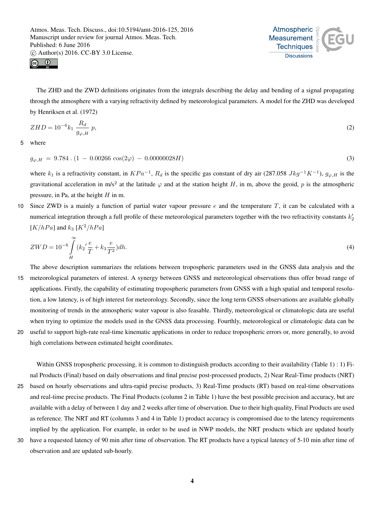



The ZHD and the ZWD definitions originates from the integrals describing the delay and bending of a signal propagating through the atmosphere with a varying refractivity defined by meteorological parameters. A model for the ZHD was developed by Henriksen et al. (1972)

$$
ZHD = 10^{-6}k_1 \frac{R_d}{g_{\varphi, H}} p,
$$
\n(2)

5 where

$$
g_{\varphi,H} = 9.784 \cdot (1 - 0.00266 \cos(2\varphi) - 0.00000028H)
$$
\n(3)

where  $k_1$  is a refractivity constant, in  $KPa^{-1}$ ,  $R_d$  is the specific gas constant of dry air (287.058  $Jkg^{-1}K^{-1}$ ),  $g_{\varphi,H}$  is the gravitational acceleration in m/s<sup>2</sup> at the latitude  $\varphi$  and at the station height H, in m, above the geoid, p is the atmospheric pressure, in Pa, at the height  $H$  in m.

10 Since ZWD is a mainly a function of partial water vapour pressure  $e$  and the temperature  $T$ , it can be calculated with a numerical integration through a full profile of these meteorological parameters together with the two refractivity constants  $k'_2$  $[K/hPa]$  and  $k_3 [K^2/hPa]$ 

$$
ZWD = 10^{-6} \int_{H}^{\infty} (k_2' \frac{e}{T} + k_3 \frac{e}{T^2}) dh.
$$
\n(4)

The above description summarizes the relations between tropospheric parameters used in the GNSS data analysis and the 15 meteorological parameters of interest. A synergy between GNSS and meteorological observations thus offer broad range of applications. Firstly, the capability of estimating tropospheric parameters from GNSS with a high spatial and temporal resolution, a low latency, is of high interest for meteorology. Secondly, since the long term GNSS observations are available globally monitoring of trends in the atmospheric water vapour is also feasable. Thirdly, meteorological or climatologic data are useful when trying to optimize the models used in the GNSS data processing. Fourthly, meteorological or climatologic data can be 20 useful to support high-rate real-time kinematic applications in order to reduce tropospheric errors or, more generally, to avoid

high correlations between estimated height coordinates.

Within GNSS tropospheric processing, it is common to distinguish products according to their availability (Table 1) : 1) Final Products (Final) based on daily observations and final precise post-processed products, 2) Near Real-Time products (NRT) 25 based on hourly observations and ultra-rapid precise products, 3) Real-Time products (RT) based on real-time observations

and real-time precise products. The Final Products (column 2 in Table 1) have the best possible precision and accuracy, but are available with a delay of between 1 day and 2 weeks after time of observation. Due to their high quality, Final Products are used as reference. The NRT and RT (columns 3 and 4 in Table 1) product accuracy is compromised due to the latency requirements implied by the application. For example, in order to be used in NWP models, the NRT products which are updated hourly

30 have a requested latency of 90 min after time of observation. The RT products have a typical latency of 5-10 min after time of observation and are updated sub-hourly.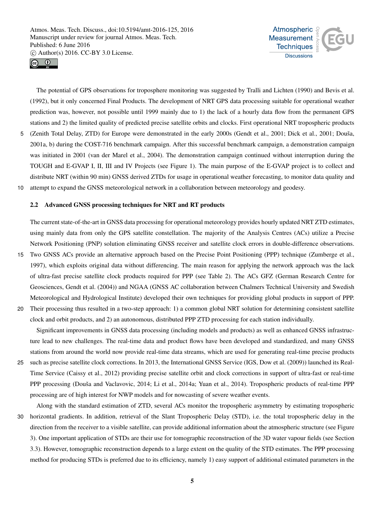



The potential of GPS observations for troposphere monitoring was suggested by Tralli and Lichten (1990) and Bevis et al. (1992), but it only concerned Final Products. The development of NRT GPS data processing suitable for operational weather prediction was, however, not possible until 1999 mainly due to 1) the lack of a hourly data flow from the permanent GPS stations and 2) the limited quality of predicted precise satellite orbits and clocks. First operational NRT tropospheric products 5 (Zenith Total Delay, ZTD) for Europe were demonstrated in the early 2000s (Gendt et al., 2001; Dick et al., 2001; Douša, 2001a, b) during the COST-716 benchmark campaign. After this successful benchmark campaign, a demonstration campaign was initiated in 2001 (van der Marel et al., 2004). The demonstration campaign continued without interruption during the TOUGH and E-GVAP I, II, III and IV Projects (see Figure 1). The main purpose of the E-GVAP project is to collect and distribute NRT (within 90 min) GNSS derived ZTDs for usage in operational weather forecasting, to monitor data quality and 10 attempt to expand the GNSS meteorological network in a collaboration between meteorology and geodesy.

# 2.2 Advanced GNSS processing techniques for NRT and RT products

The current state-of-the-art in GNSS data processing for operational meteorology provides hourly updated NRT ZTD estimates, using mainly data from only the GPS satellite constellation. The majority of the Analysis Centres (ACs) utilize a Precise Network Positioning (PNP) solution eliminating GNSS receiver and satellite clock errors in double-difference observations.

- 15 Two GNSS ACs provide an alternative approach based on the Precise Point Positioning (PPP) technique (Zumberge et al., 1997), which exploits original data without differencing. The main reason for applying the network approach was the lack of ultra-fast precise satellite clock products required for PPP (see Table 2). The ACs GFZ (German Research Centre for Geosciences, Gendt et al. (2004)) and NGAA (GNSS AC collaboration between Chalmers Technical University and Swedish Meteorological and Hydrological Institute) developed their own techniques for providing global products in support of PPP.
- 20 Their processing thus resulted in a two-step approach: 1) a common global NRT solution for determining consistent satellite clock and orbit products, and 2) an autonomous, distributed PPP ZTD processing for each station individually.

Significant improvements in GNSS data processing (including models and products) as well as enhanced GNSS infrastructure lead to new challenges. The real-time data and product flows have been developed and standardized, and many GNSS stations from around the world now provide real-time data streams, which are used for generating real-time precise products

25 such as precise satellite clock corrections. In 2013, the International GNSS Service (IGS, Dow et al. (2009)) launched its Real-Time Service (Caissy et al., 2012) providing precise satellite orbit and clock corrections in support of ultra-fast or real-time PPP processing (Douša and Vaclavovic, 2014; Li et al., 2014a; Yuan et al., 2014). Tropospheric products of real-time PPP processing are of high interest for NWP models and for nowcasting of severe weather events.

Along with the standard estimation of ZTD, several ACs monitor the tropospheric asymmetry by estimating tropospheric 30 horizontal gradients. In addition, retrieval of the Slant Tropospheric Delay (STD), i.e. the total tropospheric delay in the direction from the receiver to a visible satellite, can provide additional information about the atmospheric structure (see Figure 3). One important application of STDs are their use for tomographic reconstruction of the 3D water vapour fields (see Section 3.3). However, tomographic reconstruction depends to a large extent on the quality of the STD estimates. The PPP processing method for producing STDs is preferred due to its efficiency, namely 1) easy support of additional estimated parameters in the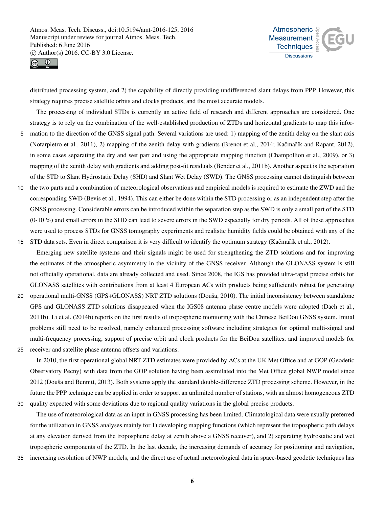



distributed processing system, and 2) the capability of directly providing undifferenced slant delays from PPP. However, this strategy requires precise satellite orbits and clocks products, and the most accurate models.

The processing of individual STDs is currently an active field of research and different approaches are considered. One strategy is to rely on the combination of the well-established production of ZTDs and horizontal gradients to map this infor-

- 5 mation to the direction of the GNSS signal path. Several variations are used: 1) mapping of the zenith delay on the slant axis (Notarpietro et al., 2011), 2) mapping of the zenith delay with gradients (Brenot et al., 2014; Kačmařík and Rapant, 2012), in some cases separating the dry and wet part and using the appropriate mapping function (Champollion et al., 2009), or 3) mapping of the zenith delay with gradients and adding post-fit residuals (Bender et al., 2011b). Another aspect is the separation of the STD to Slant Hydrostatic Delay (SHD) and Slant Wet Delay (SWD). The GNSS processing cannot distinguish between
- 10 the two parts and a combination of meteorological observations and empirical models is required to estimate the ZWD and the corresponding SWD (Bevis et al., 1994). This can either be done within the STD processing or as an independent step after the GNSS processing. Considerable errors can be introduced within the separation step as the SWD is only a small part of the STD  $(0-10\%)$  and small errors in the SHD can lead to severe errors in the SWD especially for dry periods. All of these approaches were used to process STDs for GNSS tomography experiments and realistic humidity fields could be obtained with any of the
- 15 STD data sets. Even in direct comparison it is very difficult to identify the optimum strategy (Kačmařík et al., 2012). Emerging new satellite systems and their signals might be used for strengthening the ZTD solutions and for improving the estimates of the atmospheric asymmetry in the vicinity of the GNSS receiver. Although the GLONASS system is still not officially operational, data are already collected and used. Since 2008, the IGS has provided ultra-rapid precise orbits for GLONASS satellites with contributions from at least 4 European ACs with products being sufficiently robust for generating
- 20 operational multi-GNSS (GPS+GLONASS) NRT ZTD solutions (Douša, 2010). The initial inconsistency between standalone GPS and GLONASS ZTD solutions disappeared when the IGS08 antenna phase centre models were adopted (Dach et al., 2011b). Li et al. (2014b) reports on the first results of tropospheric monitoring with the Chinese BeiDou GNSS system. Initial problems still need to be resolved, namely enhanced processing software including strategies for optimal multi-signal and multi-frequency processing, support of precise orbit and clock products for the BeiDou satellites, and improved models for
- 25 receiver and satellite phase antenna offsets and variations.

In 2010, the first operational global NRT ZTD estimates were provided by ACs at the UK Met Office and at GOP (Geodetic Observatory Pecny) with data from the GOP solution having been assimilated into the Met Office global NWP model since 2012 (Douša and Bennitt, 2013). Both systems apply the standard double-difference ZTD processing scheme. However, in the future the PPP technique can be applied in order to support an unlimited number of stations, with an almost homogeneous ZTD 30 quality expected with some deviations due to regional quality variations in the global precise products.

The use of meteorological data as an input in GNSS processing has been limited. Climatological data were usually preferred for the utilization in GNSS analyses mainly for 1) developing mapping functions (which represent the tropospheric path delays at any elevation derived from the tropospheric delay at zenith above a GNSS receiver), and 2) separating hydrostatic and wet tropospheric components of the ZTD. In the last decade, the increasing demands of accuracy for positioning and navigation,

35 increasing resolution of NWP models, and the direct use of actual meteorological data in space-based geodetic techniques has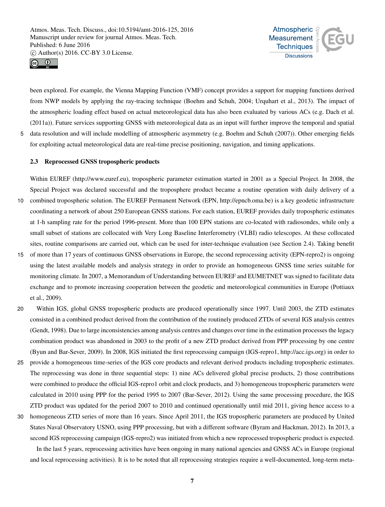



been explored. For example, the Vienna Mapping Function (VMF) concept provides a support for mapping functions derived from NWP models by applying the ray-tracing technique (Boehm and Schuh, 2004; Urquhart et al., 2013). The impact of the atmospheric loading effect based on actual meteorological data has also been evaluated by various ACs (e.g. Dach et al. (2011a)). Future services supporting GNSS with meteorological data as an input will further improve the temporal and spatial 5 data resolution and will include modelling of atmospheric asymmetry (e.g. Boehm and Schuh (2007)). Other emerging fields

for exploiting actual meteorological data are real-time precise positioning, navigation, and timing applications.

# 2.3 Reprocessed GNSS tropospheric products

Within EUREF (http://www.euref.eu), tropospheric parameter estimation started in 2001 as a Special Project. In 2008, the Special Project was declared successful and the troposphere product became a routine operation with daily delivery of a 10 combined tropospheric solution. The EUREF Permanent Network (EPN, http://epncb.oma.be) is a key geodetic infrastructure coordinating a network of about 250 European GNSS stations. For each station, EUREF provides daily tropospheric estimates at 1-h sampling rate for the period 1996-present. More than 100 EPN stations are co-located with radiosondes, while only a small subset of stations are collocated with Very Long Baseline Interferometry (VLBI) radio telescopes. At these collocated sites, routine comparisons are carried out, which can be used for inter-technique evaluation (see Section 2.4). Taking benefit

- 15 of more than 17 years of continuous GNSS observations in Europe, the second reprocessing activity (EPN-repro2) is ongoing using the latest available models and analysis strategy in order to provide an homogeneous GNSS time series suitable for monitoring climate. In 2007, a Memorandum of Understanding between EUREF and EUMETNET was signed to facilitate data exchange and to promote increasing cooperation between the geodetic and meteorological communities in Europe (Pottiaux et al., 2009).
- 20 Within IGS, global GNSS tropospheric products are produced operationally since 1997. Until 2003, the ZTD estimates consisted in a combined product derived from the contribution of the routinely produced ZTDs of several IGS analysis centres (Gendt, 1998). Due to large inconsistencies among analysis centres and changes over time in the estimation processes the legacy combination product was abandoned in 2003 to the profit of a new ZTD product derived from PPP processing by one centre (Byun and Bar-Sever, 2009). In 2008, IGS initiated the first reprocessing campaign (IGS-repro1, http://acc.igs.org) in order to
- 25 provide a homogeneous time-series of the IGS core products and relevant derived products including tropospheric estimates. The reprocessing was done in three sequential steps: 1) nine ACs delivered global precise products, 2) those contributions were combined to produce the official IGS-repro1 orbit and clock products, and 3) homogeneous tropospheric parameters were calculated in 2010 using PPP for the period 1995 to 2007 (Bar-Sever, 2012). Using the same processing procedure, the IGS ZTD product was updated for the period 2007 to 2010 and continued operationally until mid 2011, giving hence access to a
- 30 homogeneous ZTD series of more than 16 years. Since April 2011, the IGS tropospheric parameters are produced by United States Naval Observatory USNO, using PPP processing, but with a different software (Byram and Hackman, 2012). In 2013, a second IGS reprocessing campaign (IGS-repro2) was initiated from which a new reprocessed tropospheric product is expected.

In the last 5 years, reprocessing activities have been ongoing in many national agencies and GNSS ACs in Europe (regional and local reprocessing activities). It is to be noted that all reprocessing strategies require a well-documented, long-term meta-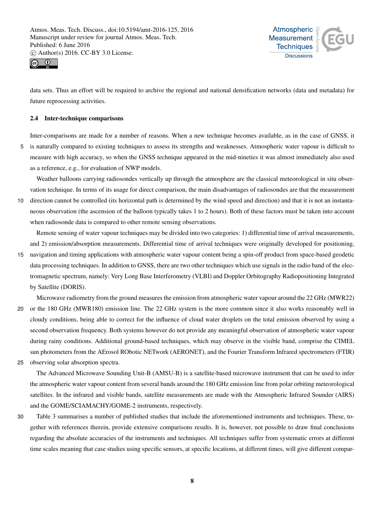



data sets. Thus an effort will be required to archive the regional and national densification networks (data and metadata) for future reprocessing activities.

## 2.4 Inter-technique comparisons

Inter-comparisons are made for a number of reasons. When a new technique becomes available, as in the case of GNSS, it

5 is naturally compared to existing techniques to assess its strengths and weaknesses. Atmospheric water vapour is difficult to measure with high accuracy, so when the GNSS technique appeared in the mid-nineties it was almost immediately also used as a reference, e.g., for evaluation of NWP models.

Weather balloons carrying radiosondes vertically up through the atmosphere are the classical meteorological in situ observation technique. In terms of its usage for direct comparison, the main disadvantages of radiosondes are that the measurement

10 direction cannot be controlled (its horizontal path is determined by the wind speed and direction) and that it is not an instantaneous observation (the ascension of the balloon typically takes 1 to 2 hours). Both of these factors must be taken into account when radiosonde data is compared to other remote sensing observations.

Remote sensing of water vapour techniques may be divided into two categories: 1) differential time of arrival measurements, and 2) emission/absorption measurements. Differential time of arrival techniques were originally developed for positioning,

15 navigation and timing applications with atmospheric water vapour content being a spin-off product from space-based geodetic data processing techniques. In addition to GNSS, there are two other techniques which use signals in the radio band of the electromagnetic spectrum, namely: Very Long Base Interferometry (VLBI) and Doppler Orbitography Radiopositioning Integrated by Satellite (DORIS).

Microwave radiometry from the ground measures the emission from atmospheric water vapour around the 22 GHz (MWR22)

20 or the 180 GHz (MWR180) emission line. The 22 GHz system is the more common since it also works reasonably well in cloudy conditions, being able to correct for the influence of cloud water droplets on the total emission observed by using a second observation frequency. Both systems however do not provide any meaningful observation of atmospheric water vapour during rainy conditions. Additional ground-based techniques, which may observe in the visible band, comprise the CIMEL sun photometers from the AErosol RObotic NETwork (AERONET), and the Fourier Transform Infrared spectrometers (FTIR)

25 observing solar absorption spectra.

The Advanced Microwave Sounding Unit-B (AMSU-B) is a satellite-based microwave instrument that can be used to infer the atmospheric water vapour content from several bands around the 180 GHz emission line from polar orbiting meteorological satellites. In the infrared and visible bands, satellite measurements are made with the Atmospheric Infrared Sounder (AIRS) and the GOME/SCIAMACHY/GOME-2 instruments, respectively.

30 Table 3 summarises a number of published studies that include the aforementioned instruments and techniques. These, together with references therein, provide extensive comparisons results. It is, however, not possible to draw final conclusions regarding the absolute accuracies of the instruments and techniques. All techniques suffer from systematic errors at different time scales meaning that case studies using specific sensors, at specific locations, at different times, will give different compar-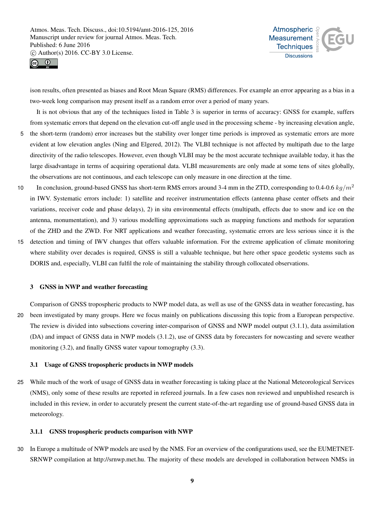



ison results, often presented as biases and Root Mean Square (RMS) differences. For example an error appearing as a bias in a two-week long comparison may present itself as a random error over a period of many years.

It is not obvious that any of the techniques listed in Table 3 is superior in terms of accuracy: GNSS for example, suffers from systematic errors that depend on the elevation cut-off angle used in the processing scheme - by increasing elevation angle,

- 5 the short-term (random) error increases but the stability over longer time periods is improved as systematic errors are more evident at low elevation angles (Ning and Elgered, 2012). The VLBI technique is not affected by multipath due to the large directivity of the radio telescopes. However, even though VLBI may be the most accurate technique available today, it has the large disadvantage in terms of acquiring operational data. VLBI measurements are only made at some tens of sites globally, the observations are not continuous, and each telescope can only measure in one direction at the time.
- In conclusion, ground-based GNSS has short-term RMS errors around 3-4 mm in the ZTD, corresponding to 0.4-0.6  $kg/m^2$ 10 in IWV. Systematic errors include: 1) satellite and receiver instrumentation effects (antenna phase center offsets and their variations, receiver code and phase delays), 2) in situ environmental effects (multipath, effects due to snow and ice on the antenna, monumentation), and 3) various modelling approximations such as mapping functions and methods for separation of the ZHD and the ZWD. For NRT applications and weather forecasting, systematic errors are less serious since it is the
- 15 detection and timing of IWV changes that offers valuable information. For the extreme application of climate monitoring where stability over decades is required, GNSS is still a valuable technique, but here other space geodetic systems such as DORIS and, especially, VLBI can fulfil the role of maintaining the stability through collocated observations.

## 3 GNSS in NWP and weather forecasting

Comparison of GNSS tropospheric products to NWP model data, as well as use of the GNSS data in weather forecasting, has 20 been investigated by many groups. Here we focus mainly on publications discussing this topic from a European perspective. The review is divided into subsections covering inter-comparison of GNSS and NWP model output (3.1.1), data assimilation (DA) and impact of GNSS data in NWP models (3.1.2), use of GNSS data by forecasters for nowcasting and severe weather monitoring (3.2), and finally GNSS water vapour tomography (3.3).

#### 3.1 Usage of GNSS tropospheric products in NWP models

25 While much of the work of usage of GNSS data in weather forecasting is taking place at the National Meteorological Services (NMS), only some of these results are reported in refereed journals. In a few cases non reviewed and unpublished research is included in this review, in order to accurately present the current state-of-the-art regarding use of ground-based GNSS data in meteorology.

#### 3.1.1 GNSS tropospheric products comparison with NWP

30 In Europe a multitude of NWP models are used by the NMS. For an overview of the configurations used, see the EUMETNET-SRNWP compilation at http://srnwp.met.hu. The majority of these models are developed in collaboration between NMSs in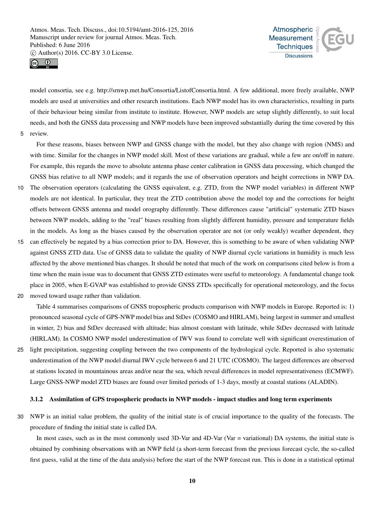



model consortia, see e.g. http://srnwp.met.hu/Consortia/ListofConsortia.html. A few additional, more freely available, NWP models are used at universities and other research institutions. Each NWP model has its own characteristics, resulting in parts of their behaviour being similar from institute to institute. However, NWP models are setup slightly differently, to suit local needs, and both the GNSS data processing and NWP models have been improved substantially during the time covered by this 5 review.

For these reasons, biases between NWP and GNSS change with the model, but they also change with region (NMS) and with time. Similar for the changes in NWP model skill. Most of these variations are gradual, while a few are on/off in nature. For example, this regards the move to absolute antenna phase center calibration in GNSS data processing, which changed the GNSS bias relative to all NWP models; and it regards the use of observation operators and height corrections in NWP DA.

- 10 The observation operators (calculating the GNSS equivalent, e.g. ZTD, from the NWP model variables) in different NWP models are not identical. In particular, they treat the ZTD contribution above the model top and the corrections for height offsets between GNSS antenna and model orography differently. These differences cause "artificial" systematic ZTD biases between NWP models, adding to the "real" biases resulting from slightly different humidity, pressure and temperature fields in the models. As long as the biases caused by the observation operator are not (or only weakly) weather dependent, they
- 15 can effectively be negated by a bias correction prior to DA. However, this is something to be aware of when validating NWP against GNSS ZTD data. Use of GNSS data to validate the quality of NWP diurnal cycle variations in humidity is much less affected by the above mentioned bias changes. It should be noted that much of the work on comparisons cited below is from a time when the main issue was to document that GNSS ZTD estimates were useful to meteorology. A fundamental change took place in 2005, when E-GVAP was established to provide GNSS ZTDs specifically for operational meteorology, and the focus
- 20 moved toward usage rather than validation.

Table 4 summarises comparisons of GNSS tropospheric products comparison with NWP models in Europe. Reported is: 1) pronounced seasonal cycle of GPS-NWP model bias and StDev (COSMO and HIRLAM), being largest in summer and smallest in winter, 2) bias and StDev decreased with altitude; bias almost constant with latitude, while StDev decreased with latitude (HIRLAM). In COSMO NWP model underestimation of IWV was found to correlate well with significant overestimation of

25 light precipitation, suggesting coupling between the two components of the hydrological cycle. Reported is also systematic underestimation of the NWP model diurnal IWV cycle between 6 and 21 UTC (COSMO). The largest differences are observed at stations located in mountainous areas and/or near the sea, which reveal differences in model representativeness (ECMWF). Large GNSS-NWP model ZTD biases are found over limited periods of 1-3 days, mostly at coastal stations (ALADIN).

#### 3.1.2 Assimilation of GPS tropospheric products in NWP models - impact studies and long term experiments

30 NWP is an initial value problem, the quality of the initial state is of crucial importance to the quality of the forecasts. The procedure of finding the initial state is called DA.

In most cases, such as in the most commonly used 3D-Var and 4D-Var (Var = variational) DA systems, the initial state is obtained by combining observations with an NWP field (a short-term forecast from the previous forecast cycle, the so-called first guess, valid at the time of the data analysis) before the start of the NWP forecast run. This is done in a statistical optimal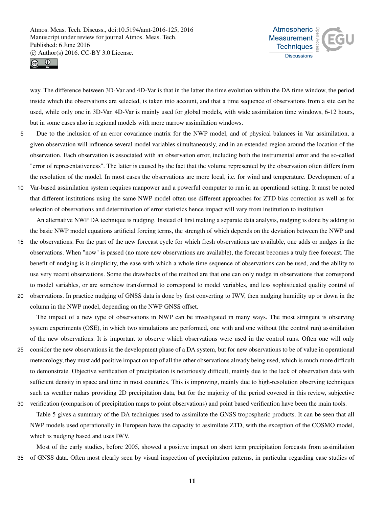



way. The difference between 3D-Var and 4D-Var is that in the latter the time evolution within the DA time window, the period inside which the observations are selected, is taken into account, and that a time sequence of observations from a site can be used, while only one in 3D-Var. 4D-Var is mainly used for global models, with wide assimilation time windows, 6-12 hours, but in some cases also in regional models with more narrow assimilation windows.

- 5 Due to the inclusion of an error covariance matrix for the NWP model, and of physical balances in Var assimilation, a given observation will influence several model variables simultaneously, and in an extended region around the location of the observation. Each observation is associated with an observation error, including both the instrumental error and the so-called "error of representativeness". The latter is caused by the fact that the volume represented by the observation often differs from the resolution of the model. In most cases the observations are more local, i.e. for wind and temperature. Development of a
- 10 Var-based assimilation system requires manpower and a powerful computer to run in an operational setting. It must be noted that different institutions using the same NWP model often use different approaches for ZTD bias correction as well as for selection of observations and determination of error statistics hence impact will vary from institution to institution

An alternative NWP DA technique is nudging. Instead of first making a separate data analysis, nudging is done by adding to the basic NWP model equations artificial forcing terms, the strength of which depends on the deviation between the NWP and

- 15 the observations. For the part of the new forecast cycle for which fresh observations are available, one adds or nudges in the observations. When "now" is passed (no more new observations are available), the forecast becomes a truly free forecast. The benefit of nudging is it simplicity, the ease with which a whole time sequence of observations can be used, and the ability to use very recent observations. Some the drawbacks of the method are that one can only nudge in observations that correspond to model variables, or are somehow transformed to correspond to model variables, and less sophisticated quality control of 20 observations. In practice nudging of GNSS data is done by first converting to IWV, then nudging humidity up or down in the
- 

column in the NWP model, depending on the NWP GNSS offset.

The impact of a new type of observations in NWP can be investigated in many ways. The most stringent is observing system experiments (OSE), in which two simulations are performed, one with and one without (the control run) assimilation of the new observations. It is important to observe which observations were used in the control runs. Often one will only 25 consider the new observations in the development phase of a DA system, but for new observations to be of value in operational meteorology, they must add positive impact on top of all the other observations already being used, which is much more difficult to demonstrate. Objective verification of precipitation is notoriously difficult, mainly due to the lack of observation data with sufficient density in space and time in most countries. This is improving, mainly due to high-resolution observing techniques such as weather radars providing 2D precipitation data, but for the majority of the period covered in this review, subjective

30 verification (comparison of precipitation maps to point observations) and point based verification have been the main tools. Table 5 gives a summary of the DA techniques used to assimilate the GNSS tropospheric products. It can be seen that all NWP models used operationally in European have the capacity to assimilate ZTD, with the exception of the COSMO model, which is nudging based and uses IWV.

Most of the early studies, before 2005, showed a positive impact on short term precipitation forecasts from assimilation 35 of GNSS data. Often most clearly seen by visual inspection of precipitation patterns, in particular regarding case studies of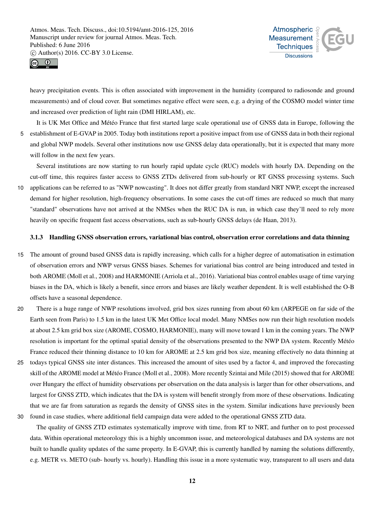



heavy precipitation events. This is often associated with improvement in the humidity (compared to radiosonde and ground measurements) and of cloud cover. But sometimes negative effect were seen, e.g. a drying of the COSMO model winter time and increased over prediction of light rain (DMI HIRLAM), etc.

It is UK Met Office and Météo France that first started large scale operational use of GNSS data in Europe, following the 5 establishment of E-GVAP in 2005. Today both institutions report a positive impact from use of GNSS data in both their regional and global NWP models. Several other institutions now use GNSS delay data operationally, but it is expected that many more will follow in the next few years.

Several institutions are now starting to run hourly rapid update cycle (RUC) models with hourly DA. Depending on the cut-off time, this requires faster access to GNSS ZTDs delivered from sub-hourly or RT GNSS processing systems. Such 10 applications can be referred to as "NWP nowcasting". It does not differ greatly from standard NRT NWP, except the increased demand for higher resolution, high-frequency observations. In some cases the cut-off times are reduced so much that many "standard" observations have not arrived at the NMSes when the RUC DA is run, in which case they'll need to rely more

heavily on specific frequent fast access observations, such as sub-hourly GNSS delays (de Haan, 2013).

## 3.1.3 Handling GNSS observation errors, variational bias control, observation error correlations and data thinning

- 15 The amount of ground based GNSS data is rapidly increasing, which calls for a higher degree of automatisation in estimation of observation errors and NWP versus GNSS biases. Schemes for variational bias control are being introduced and tested in both AROME (Moll et al., 2008) and HARMONIE (Arriola et al., 2016). Variational bias control enables usage of time varying biases in the DA, which is likely a benefit, since errors and biases are likely weather dependent. It is well established the O-B offsets have a seasonal dependence.
- 20 There is a huge range of NWP resolutions involved, grid box sizes running from about 60 km (ARPEGE on far side of the Earth seen from Paris) to 1.5 km in the latest UK Met Office local model. Many NMSes now run their high resolution models at about 2.5 km grid box size (AROME, COSMO, HARMONIE), many will move toward 1 km in the coming years. The NWP resolution is important for the optimal spatial density of the observations presented to the NWP DA system. Recently Météo France reduced their thinning distance to 10 km for AROME at 2.5 km grid box size, meaning effectively no data thinning at
- 25 todays typical GNSS site inter distances. This increased the amount of sites used by a factor 4, and improved the forecasting skill of the AROME model at Météo France (Moll et al., 2008). More recently Szintai and Mile (2015) showed that for AROME over Hungary the effect of humidity observations per observation on the data analysis is larger than for other observations, and largest for GNSS ZTD, which indicates that the DA is system will benefit strongly from more of these observations. Indicating that we are far from saturation as regards the density of GNSS sites in the system. Similar indications have previously been

30 found in case studies, where additional field campaign data were added to the operational GNSS ZTD data.

The quality of GNSS ZTD estimates systematically improve with time, from RT to NRT, and further on to post processed data. Within operational meteorology this is a highly uncommon issue, and meteorological databases and DA systems are not built to handle quality updates of the same property. In E-GVAP, this is currently handled by naming the solutions differently, e.g. METR vs. METO (sub- hourly vs. hourly). Handling this issue in a more systematic way, transparent to all users and data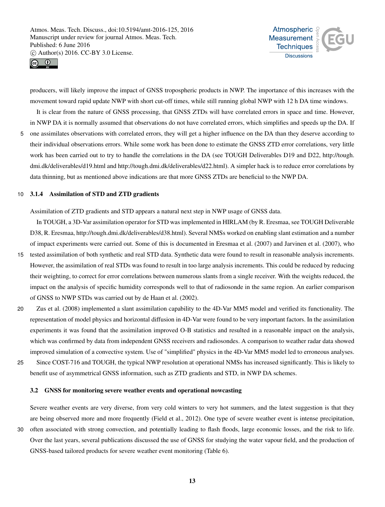



producers, will likely improve the impact of GNSS tropospheric products in NWP. The importance of this increases with the movement toward rapid update NWP with short cut-off times, while still running global NWP with 12 h DA time windows.

It is clear from the nature of GNSS processing, that GNSS ZTDs will have correlated errors in space and time. However, in NWP DA it is normally assumed that observations do not have correlated errors, which simplifies and speeds up the DA. If

5 one assimilates observations with correlated errors, they will get a higher influence on the DA than they deserve according to their individual observations errors. While some work has been done to estimate the GNSS ZTD error correlations, very little work has been carried out to try to handle the correlations in the DA (see TOUGH Deliverables D19 and D22, http://tough. dmi.dk/deliverables/d19.html and http://tough.dmi.dk/deliverables/d22.html). A simpler hack is to reduce error correlations by data thinning, but as mentioned above indications are that more GNSS ZTDs are beneficial to the NWP DA.

#### 10 3.1.4 Assimilation of STD and ZTD gradients

Assimilation of ZTD gradients and STD appears a natural next step in NWP usage of GNSS data.

In TOUGH, a 3D-Var assimilation operator for STD was implemented in HIRLAM (by R. Eresmaa, see TOUGH Deliverable D38, R. Eresmaa, http://tough.dmi.dk/deliverables/d38.html). Several NMSs worked on enabling slant estimation and a number of impact experiments were carried out. Some of this is documented in Eresmaa et al. (2007) and Jarvinen et al. (2007), who

- 15 tested assimilation of both synthetic and real STD data. Synthetic data were found to result in reasonable analysis increments. However, the assimilation of real STDs was found to result in too large analysis increments. This could be reduced by reducing their weighting, to correct for error correlations between numerous slants from a single receiver. With the weights reduced, the impact on the analysis of specific humidity corresponds well to that of radiosonde in the same region. An earlier comparison of GNSS to NWP STDs was carried out by de Haan et al. (2002).
- 20 Zus et al. (2008) implemented a slant assimilation capability to the 4D-Var MM5 model and verified its functionality. The representation of model physics and horizontal diffusion in 4D-Var were found to be very important factors. In the assimilation experiments it was found that the assimilation improved O-B statistics and resulted in a reasonable impact on the analysis, which was confirmed by data from independent GNSS receivers and radiosondes. A comparison to weather radar data showed improved simulation of a convective system. Use of "simplified" physics in the 4D-Var MM5 model led to erroneous analyses.
- 25 Since COST-716 and TOUGH, the typical NWP resolution at operational NMSs has increased significantly. This is likely to benefit use of asymmetrical GNSS information, such as ZTD gradients and STD, in NWP DA schemes.

#### 3.2 GNSS for monitoring severe weather events and operational nowcasting

Severe weather events are very diverse, from very cold winters to very hot summers, and the latest suggestion is that they are being observed more and more frequently (Field et al., 2012). One type of severe weather event is intense precipitation, 30 often associated with strong convection, and potentially leading to flash floods, large economic losses, and the risk to life. Over the last years, several publications discussed the use of GNSS for studying the water vapour field, and the production of GNSS-based tailored products for severe weather event monitoring (Table 6).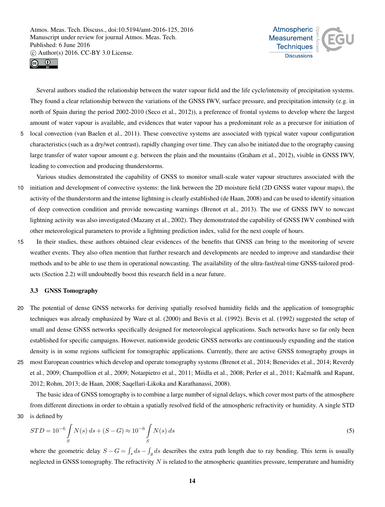



Several authors studied the relationship between the water vapour field and the life cycle/intensity of precipitation systems. They found a clear relationship between the variations of the GNSS IWV, surface pressure, and precipitation intensity (e.g. in north of Spain during the period 2002-2010 (Seco et al., 2012)), a preference of frontal systems to develop where the largest amount of water vapour is available, and evidences that water vapour has a predominant role as a precursor for initiation of

5 local convection (van Baelen et al., 2011). These convective systems are associated with typical water vapour configuration characteristics (such as a dry/wet contrast), rapidly changing over time. They can also be initiated due to the orography causing large transfer of water vapour amount e.g. between the plain and the mountains (Graham et al., 2012), visible in GNSS IWV, leading to convection and producing thunderstorms.

Various studies demonstrated the capability of GNSS to monitor small-scale water vapour structures associated with the 10 initiation and development of convective systems: the link between the 2D moisture field (2D GNSS water vapour maps), the activity of the thunderstorm and the intense lightning is clearly established (de Haan, 2008) and can be used to identify situation of deep convection condition and provide nowcasting warnings (Brenot et al., 2013). The use of GNSS IWV to nowcast lightning activity was also investigated (Mazany et al., 2002). They demonstrated the capability of GNSS IWV combined with other meteorological parameters to provide a lightning prediction index, valid for the next couple of hours.

15 In their studies, these authors obtained clear evidences of the benefits that GNSS can bring to the monitoring of severe weather events. They also often mention that further research and developments are needed to improve and standardise their methods and to be able to use them in operational nowcasting. The availability of the ultra-fast/real-time GNSS-tailored products (Section 2.2) will undoubtedly boost this research field in a near future.

## 3.3 GNSS Tomography

- 20 The potential of dense GNSS networks for deriving spatially resolved humidity fields and the application of tomographic techniques was already emphasized by Ware et al. (2000) and Bevis et al. (1992). Bevis et al. (1992) suggested the setup of small and dense GNSS networks specifically designed for meteorological applications. Such networks have so far only been established for specific campaigns. However, nationwide geodetic GNSS networks are continuously expanding and the station density is in some regions sufficient for tomographic applications. Currently, there are active GNSS tomography groups in
- 25 most European countries which develop and operate tomography systems (Brenot et al., 2014; Benevides et al., 2014; Reverdy et al., 2009; Champollion et al., 2009; Notarpietro et al., 2011; Miidla et al., 2008; Perler et al., 2011; Kačmařík and Rapant, 2012; Rohm, 2013; de Haan, 2008; Saqellari-Likoka and Karathanassi, 2008).

The basic idea of GNSS tomography is to combine a large number of signal delays, which cover most parts of the atmosphere from different directions in order to obtain a spatially resolved field of the atmospheric refractivity or humidity. A single STD 30 is defined by

$$
STD = 10^{-6} \int_{S} N(s) ds + (S - G) \approx 10^{-6} \int_{S} N(s) ds
$$
\n(5)

where the geometric delay  $S - G = \int_s ds - \int_g ds$  describes the extra path length due to ray bending. This term is usually neglected in GNSS tomography. The refractivity  $N$  is related to the atmospheric quantities pressure, temperature and humidity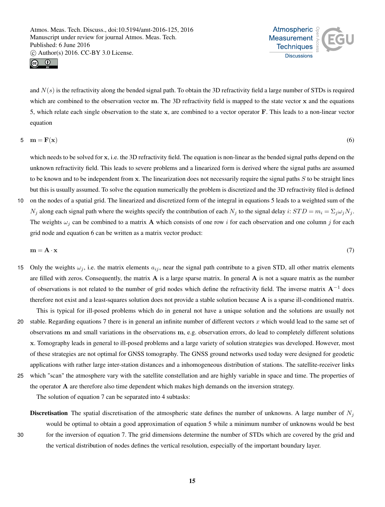



and  $N(s)$  is the refractivity along the bended signal path. To obtain the 3D refractivity field a large number of STDs is required which are combined to the observation vector m. The 3D refractivity field is mapped to the state vector  $x$  and the equations 5, which relate each single observation to the state x, are combined to a vector operator F. This leads to a non-linear vector equation

$$
5 \quad m = F(x) \tag{6}
$$

which needs to be solved for x, i.e. the 3D refractivity field. The equation is non-linear as the bended signal paths depend on the unknown refractivity field. This leads to severe problems and a linearized form is derived where the signal paths are assumed to be known and to be independent from  $x$ . The linearization does not necessarily require the signal paths  $S$  to be straight lines but this is usually assumed. To solve the equation numerically the problem is discretized and the 3D refractivity filed is defined 10 on the nodes of a spatial grid. The linearized and discretized form of the integral in equations 5 leads to a weighted sum of the

 $N_j$  along each signal path where the weights specify the contribution of each  $N_j$  to the signal delay i:  $STD = m_i = \sum_j \omega_j N_j$ . The weights  $\omega_i$  can be combined to a matrix **A** which consists of one row i for each observation and one column j for each grid node and equation 6 can be written as a matrix vector product:

$$
\mathbf{m} = \mathbf{A} \cdot \mathbf{x} \tag{7}
$$

15 Only the weights  $\omega_j$ , i.e. the matrix elements  $a_{ij}$ , near the signal path contribute to a given STD, all other matrix elements are filled with zeros. Consequently, the matrix  $\bf{A}$  is a large sparse matrix. In general  $\bf{A}$  is not a square matrix as the number of observations is not related to the number of grid nodes which define the refractivity field. The inverse matrix  $A^{-1}$  does therefore not exist and a least-squares solution does not provide a stable solution because A is a sparse ill-conditioned matrix.

This is typical for ill-posed problems which do in general not have a unique solution and the solutions are usually not 20 stable. Regarding equations 7 there is in general an infinite number of different vectors  $x$  which would lead to the same set of observations m and small variations in the observations m, e.g. observation errors, do lead to completely different solutions x. Tomography leads in general to ill-posed problems and a large variety of solution strategies was developed. However, most of these strategies are not optimal for GNSS tomography. The GNSS ground networks used today were designed for geodetic applications with rather large inter-station distances and a inhomogeneous distribution of stations. The satellite-receiver links

25 which "scan" the atmosphere vary with the satellite constellation and are highly variable in space and time. The properties of the operator A are therefore also time dependent which makes high demands on the inversion strategy.

The solution of equation 7 can be separated into 4 subtasks:

**Discretisation** The spatial discretisation of the atmospheric state defines the number of unknowns. A large number of  $N_i$ would be optimal to obtain a good approximation of equation 5 while a minimum number of unknowns would be best 30 for the inversion of equation 7. The grid dimensions determine the number of STDs which are covered by the grid and the vertical distribution of nodes defines the vertical resolution, especially of the important boundary layer.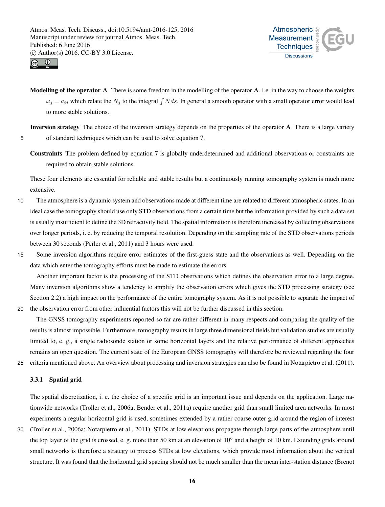



Modelling of the operator A There is some freedom in the modelling of the operator A, i.e. in the way to choose the weights  $\omega_j = a_{ij}$  which relate the  $N_j$  to the integral  $\int N ds$ . In general a smooth operator with a small operator error would lead to more stable solutions.

Inversion strategy The choice of the inversion strategy depends on the properties of the operator A. There is a large variety 5 of standard techniques which can be used to solve equation 7.

Constraints The problem defined by equation 7 is globally underdetermined and additional observations or constraints are required to obtain stable solutions.

These four elements are essential for reliable and stable results but a continuously running tomography system is much more extensive.

- 10 The atmosphere is a dynamic system and observations made at different time are related to different atmospheric states. In an ideal case the tomography should use only STD observations from a certain time but the information provided by such a data set is usually insufficient to define the 3D refractivity field. The spatial information is therefore increased by collecting observations over longer periods, i. e. by reducing the temporal resolution. Depending on the sampling rate of the STD observations periods between 30 seconds (Perler et al., 2011) and 3 hours were used.
- 15 Some inversion algorithms require error estimates of the first-guess state and the observations as well. Depending on the data which enter the tomography efforts must be made to estimate the errors.

Another important factor is the processing of the STD observations which defines the observation error to a large degree. Many inversion algorithms show a tendency to amplify the observation errors which gives the STD processing strategy (see Section 2.2) a high impact on the performance of the entire tomography system. As it is not possible to separate the impact of

20 the observation error from other influential factors this will not be further discussed in this section.

The GNSS tomography experiments reported so far are rather different in many respects and comparing the quality of the results is almost impossible. Furthermore, tomography results in large three dimensional fields but validation studies are usually limited to, e. g., a single radiosonde station or some horizontal layers and the relative performance of different approaches remains an open question. The current state of the European GNSS tomography will therefore be reviewed regarding the four 25 criteria mentioned above. An overview about processing and inversion strategies can also be found in Notarpietro et al. (2011).

3.3.1 Spatial grid

The spatial discretization, i. e. the choice of a specific grid is an important issue and depends on the application. Large nationwide networks (Troller et al., 2006a; Bender et al., 2011a) require another grid than small limited area networks. In most experiments a regular horizontal grid is used, sometimes extended by a rather coarse outer grid around the region of interest

30 (Troller et al., 2006a; Notarpietro et al., 2011). STDs at low elevations propagate through large parts of the atmosphere until the top layer of the grid is crossed, e. g. more than 50 km at an elevation of 10° and a height of 10 km. Extending grids around small networks is therefore a strategy to process STDs at low elevations, which provide most information about the vertical structure. It was found that the horizontal grid spacing should not be much smaller than the mean inter-station distance (Brenot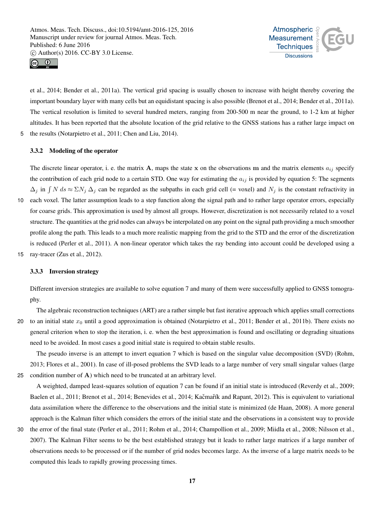



et al., 2014; Bender et al., 2011a). The vertical grid spacing is usually chosen to increase with height thereby covering the important boundary layer with many cells but an equidistant spacing is also possible (Brenot et al., 2014; Bender et al., 2011a). The vertical resolution is limited to several hundred meters, ranging from 200-500 m near the ground, to 1-2 km at higher altitudes. It has been reported that the absolute location of the grid relative to the GNSS stations has a rather large impact on 5 the results (Notarpietro et al., 2011; Chen and Liu, 2014).

#### 3.3.2 Modeling of the operator

The discrete linear operator, i. e. the matrix  $A$ , maps the state x on the observations m and the matrix elements  $a_{ij}$  specify the contribution of each grid node to a certain STD. One way for estimating the  $a_{ij}$  is provided by equation 5: The segments  $\Delta_j$  in  $\int N ds \approx \Sigma N_j \Delta_j$  can be regarded as the subpaths in each grid cell (= voxel) and  $N_j$  is the constant refractivity in

- 10 each voxel. The latter assumption leads to a step function along the signal path and to rather large operator errors, especially for coarse grids. This approximation is used by almost all groups. However, discretization is not necessarily related to a voxel structure. The quantities at the grid nodes can always be interpolated on any point on the signal path providing a much smoother profile along the path. This leads to a much more realistic mapping from the grid to the STD and the error of the discretization is reduced (Perler et al., 2011). A non-linear operator which takes the ray bending into account could be developed using a
- 15 ray-tracer (Zus et al., 2012).

#### 3.3.3 Inversion strategy

Different inversion strategies are available to solve equation 7 and many of them were successfully applied to GNSS tomography.

The algebraic reconstruction techniques (ART) are a rather simple but fast iterative approach which applies small corrections 20 to an initial state  $x_0$  until a good approximation is obtained (Notarpietro et al., 2011; Bender et al., 2011b). There exists no general criterion when to stop the iteration, i. e. when the best approximation is found and oscillating or degrading situations need to be avoided. In most cases a good initial state is required to obtain stable results.

The pseudo inverse is an attempt to invert equation 7 which is based on the singular value decomposition (SVD) (Rohm, 2013; Flores et al., 2001). In case of ill-posed problems the SVD leads to a large number of very small singular values (large 25 condition number of A) which need to be truncated at an arbitrary level.

A weighted, damped least-squares solution of equation 7 can be found if an initial state is introduced (Reverdy et al., 2009; Baelen et al., 2011; Brenot et al., 2014; Benevides et al., 2014; Kačmařík and Rapant, 2012). This is equivalent to variational data assimilation where the difference to the observations and the initial state is minimized (de Haan, 2008). A more general approach is the Kalman filter which considers the errors of the initial state and the observations in a consistent way to provide

30 the error of the final state (Perler et al., 2011; Rohm et al., 2014; Champollion et al., 2009; Miidla et al., 2008; Nilsson et al., 2007). The Kalman Filter seems to be the best established strategy but it leads to rather large matrices if a large number of observations needs to be processed or if the number of grid nodes becomes large. As the inverse of a large matrix needs to be computed this leads to rapidly growing processing times.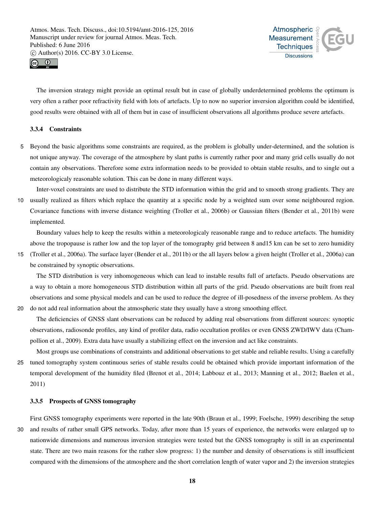



The inversion strategy might provide an optimal result but in case of globally underdetermined problems the optimum is very often a rather poor refractivity field with lots of artefacts. Up to now no superior inversion algorithm could be identified, good results were obtained with all of them but in case of insufficient observations all algorithms produce severe artefacts.

# 3.3.4 Constraints

5 Beyond the basic algorithms some constraints are required, as the problem is globally under-determined, and the solution is not unique anyway. The coverage of the atmosphere by slant paths is currently rather poor and many grid cells usually do not contain any observations. Therefore some extra information needs to be provided to obtain stable results, and to single out a meteorologicaly reasonable solution. This can be done in many different ways.

Inter-voxel constraints are used to distribute the STD information within the grid and to smooth strong gradients. They are 10 usually realized as filters which replace the quantity at a specific node by a weighted sum over some neighboured region. Covariance functions with inverse distance weighting (Troller et al., 2006b) or Gaussian filters (Bender et al., 2011b) were implemented.

Boundary values help to keep the results within a meteorologicaly reasonable range and to reduce artefacts. The humidity above the tropopause is rather low and the top layer of the tomography grid between 8 and15 km can be set to zero humidity

15 (Troller et al., 2006a). The surface layer (Bender et al., 2011b) or the all layers below a given height (Troller et al., 2006a) can be constrained by synoptic observations.

The STD distribution is very inhomogeneous which can lead to instable results full of artefacts. Pseudo observations are a way to obtain a more homogeneous STD distribution within all parts of the grid. Pseudo observations are built from real observations and some physical models and can be used to reduce the degree of ill-posedness of the inverse problem. As they

20 do not add real information about the atmospheric state they usually have a strong smoothing effect.

The deficiencies of GNSS slant observations can be reduced by adding real observations from different sources: synoptic observations, radiosonde profiles, any kind of profiler data, radio occultation profiles or even GNSS ZWD/IWV data (Champollion et al., 2009). Extra data have usually a stabilizing effect on the inversion and act like constraints.

Most groups use combinations of constraints and additional observations to get stable and reliable results. Using a carefully 25 tuned tomography system continuous series of stable results could be obtained which provide important information of the temporal development of the humidity filed (Brenot et al., 2014; Labbouz et al., 2013; Manning et al., 2012; Baelen et al., 2011)

## 3.3.5 Prospects of GNSS tomography

First GNSS tomography experiments were reported in the late 90th (Braun et al., 1999; Foelsche, 1999) describing the setup 30 and results of rather small GPS networks. Today, after more than 15 years of experience, the networks were enlarged up to nationwide dimensions and numerous inversion strategies were tested but the GNSS tomography is still in an experimental state. There are two main reasons for the rather slow progress: 1) the number and density of observations is still insufficient compared with the dimensions of the atmosphere and the short correlation length of water vapor and 2) the inversion strategies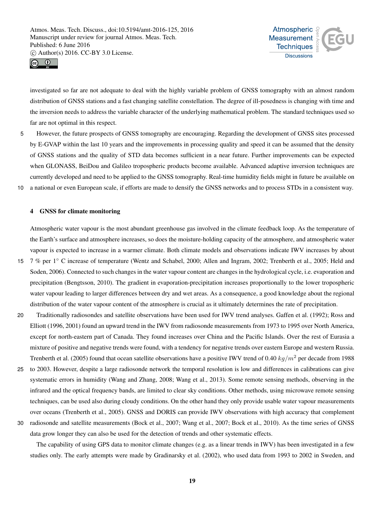



investigated so far are not adequate to deal with the highly variable problem of GNSS tomography with an almost random distribution of GNSS stations and a fast changing satellite constellation. The degree of ill-posedness is changing with time and the inversion needs to address the variable character of the underlying mathematical problem. The standard techniques used so far are not optimal in this respect.

5 However, the future prospects of GNSS tomography are encouraging. Regarding the development of GNSS sites processed by E-GVAP within the last 10 years and the improvements in processing quality and speed it can be assumed that the density of GNSS stations and the quality of STD data becomes sufficient in a near future. Further improvements can be expected when GLONASS, BeiDou and Galileo tropospheric products become available. Advanced adaptive inversion techniques are currently developed and need to be applied to the GNSS tomography. Real-time humidity fields might in future be available on 10 a national or even European scale, if efforts are made to densify the GNSS networks and to process STDs in a consistent way.

## 4 GNSS for climate monitoring

Atmospheric water vapour is the most abundant greenhouse gas involved in the climate feedback loop. As the temperature of the Earth's surface and atmosphere increases, so does the moisture-holding capacity of the atmosphere, and atmospheric water vapour is expected to increase in a warmer climate. Both climate models and observations indicate IWV increases by about

- 7 % per 1◦ 15 C increase of temperature (Wentz and Schabel, 2000; Allen and Ingram, 2002; Trenberth et al., 2005; Held and Soden, 2006). Connected to such changes in the water vapour content are changes in the hydrological cycle, i.e. evaporation and precipitation (Bengtsson, 2010). The gradient in evaporation-precipitation increases proportionally to the lower tropospheric water vapour leading to larger differences between dry and wet areas. As a consequence, a good knowledge about the regional distribution of the water vapour content of the atmosphere is crucial as it ultimately determines the rate of precipitation.
- 20 Traditionally radiosondes and satellite observations have been used for IWV trend analyses. Gaffen et al. (1992); Ross and Elliott (1996, 2001) found an upward trend in the IWV from radiosonde measurements from 1973 to 1995 over North America, except for north-eastern part of Canada. They found increases over China and the Pacific Islands. Over the rest of Eurasia a mixture of positive and negative trends were found, with a tendency for negative trends over eastern Europe and western Russia. Trenberth et al. (2005) found that ocean satellite observations have a positive IWV trend of 0.40  $kq/m^2$  per decade from 1988
- 25 to 2003. However, despite a large radiosonde network the temporal resolution is low and differences in calibrations can give systematic errors in humidity (Wang and Zhang, 2008; Wang et al., 2013). Some remote sensing methods, observing in the infrared and the optical frequency bands, are limited to clear sky conditions. Other methods, using microwave remote sensing techniques, can be used also during cloudy conditions. On the other hand they only provide usable water vapour measurements over oceans (Trenberth et al., 2005). GNSS and DORIS can provide IWV observations with high accuracy that complement
- 30 radiosonde and satellite measurements (Bock et al., 2007; Wang et al., 2007; Bock et al., 2010). As the time series of GNSS data grow longer they can also be used for the detection of trends and other systematic effects.

The capability of using GPS data to monitor climate changes (e.g. as a linear trends in IWV) has been investigated in a few studies only. The early attempts were made by Gradinarsky et al. (2002), who used data from 1993 to 2002 in Sweden, and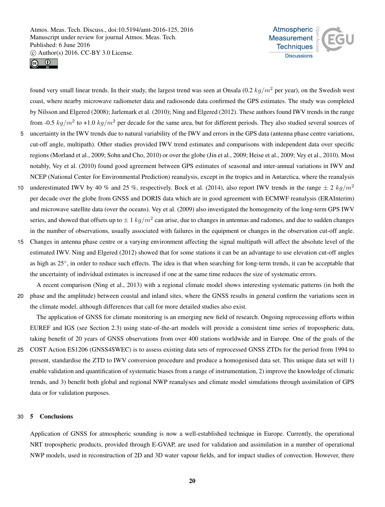



found very small linear trends. In their study, the largest trend was seen at Onsala (0.2  $kg/m^2$  per year), on the Swedish west coast, where nearby microwave radiometer data and radiosonde data confirmed the GPS estimates. The study was completed by Nilsson and Elgered (2008); Jarlemark et al. (2010); Ning and Elgered (2012). These authors found IWV trends in the range from -0.5  $kg/m^2$  to +1.0  $kg/m^2$  per decade for the same area, but for different periods. They also studied several sources of 5 uncertainty in the IWV trends due to natural variability of the IWV and errors in the GPS data (antenna phase centre variations,

- cut-off angle, multipath). Other studies provided IWV trend estimates and comparisons with independent data over specific regions (Morland et al., 2009; Sohn and Cho, 2010) or over the globe (Jin et al., 2009; Heise et al., 2009; Vey et al., 2010). Most notably, Vey et al. (2010) found good agreement between GPS estimates of seasonal and inter-annual variations in IWV and NCEP (National Center for Environmental Prediction) reanalysis, except in the tropics and in Antarctica, where the reanalysis
- underestimated IWV by 40 % and 25 %, respectively. Bock et al. (2014), also report IWV trends in the range  $\pm 2$  kg/m<sup>2</sup> 10 per decade over the globe from GNSS and DORIS data which are in good agreement with ECMWF reanalysis (ERAInterim) and microwave satellite data (over the oceans). Vey et al. (2009) also investigated the homogeneity of the long-term GPS IWV series, and showed that offsets up to  $\pm 1$   $kg/m^2$  can arise, due to changes in antennas and radomes, and due to sudden changes in the number of observations, usually associated with failures in the equipment or changes in the observation cut-off angle.
- 15 Changes in antenna phase centre or a varying environment affecting the signal multipath will affect the absolute level of the estimated IWV. Ning and Elgered (2012) showed that for some stations it can be an advantage to use elevation cut-off angles as high as 25°, in order to reduce such effects. The idea is that when searching for long-term trends, it can be acceptable that the uncertainty of individual estimates is increased if one at the same time reduces the size of systematic errors.

A recent comparison (Ning et al., 2013) with a regional climate model shows interesting systematic patterns (in both the 20 phase and the amplitude) between coastal and inland sites, where the GNSS results in general confirm the variations seen in the climate model, although differences that call for more detailed studies also exist.

The application of GNSS for climate monitoring is an emerging new field of research. Ongoing reprocessing efforts within EUREF and IGS (see Section 2.3) using state-of-the-art models will provide a consistent time series of tropospheric data, taking benefit of 20 years of GNSS observations from over 400 stations worldwide and in Europe. One of the goals of the

25 COST Action ES1206 (GNSS4SWEC) is to assess existing data sets of reprocessed GNSS ZTDs for the period from 1994 to present, standardise the ZTD to IWV conversion procedure and produce a homogenised data set. This unique data set will 1) enable validation and quantification of systematic biases from a range of instrumentation, 2) improve the knowledge of climatic trends, and 3) benefit both global and regional NWP reanalyses and climate model simulations through assimilation of GPS data or for validation purposes.

#### 30 5 Conclusions

Application of GNSS for atmospheric sounding is now a well-established technique in Europe. Currently, the operational NRT tropospheric products, provided through E-GVAP, are used for validation and assimilation in a number of operational NWP models, used in reconstruction of 2D and 3D water vapour fields, and for impact studies of convection. However, there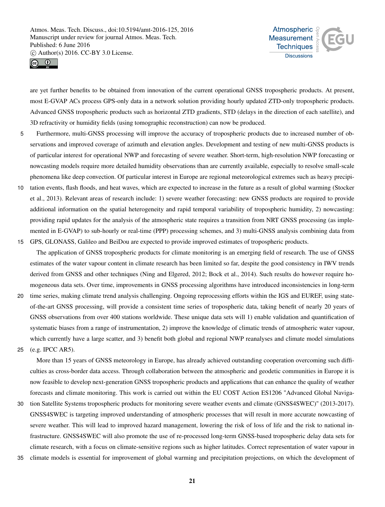



are yet further benefits to be obtained from innovation of the current operational GNSS tropospheric products. At present, most E-GVAP ACs process GPS-only data in a network solution providing hourly updated ZTD-only tropospheric products. Advanced GNSS tropospheric products such as horizontal ZTD gradients, STD (delays in the direction of each satellite), and 3D refractivity or humidity fields (using tomographic reconstruction) can now be produced.

- 5 Furthermore, multi-GNSS processing will improve the accuracy of tropospheric products due to increased number of observations and improved coverage of azimuth and elevation angles. Development and testing of new multi-GNSS products is of particular interest for operational NWP and forecasting of severe weather. Short-term, high-resolution NWP forecasting or nowcasting models require more detailed humidity observations than are currently available, especially to resolve small-scale phenomena like deep convection. Of particular interest in Europe are regional meteorological extremes such as heavy precipi-
- 10 tation events, flash floods, and heat waves, which are expected to increase in the future as a result of global warming (Stocker et al., 2013). Relevant areas of research include: 1) severe weather forecasting: new GNSS products are required to provide additional information on the spatial heterogeneity and rapid temporal variability of tropospheric humidity, 2) nowcasting: providing rapid updates for the analysis of the atmospheric state requires a transition from NRT GNSS processing (as implemented in E-GVAP) to sub-hourly or real-time (PPP) processing schemes, and 3) multi-GNSS analysis combining data from 15 GPS, GLONASS, Galileo and BeiDou are expected to provide improved estimates of tropospheric products.
- The application of GNSS tropospheric products for climate monitoring is an emerging field of research. The use of GNSS estimates of the water vapour content in climate research has been limited so far, despite the good consistency in IWV trends derived from GNSS and other techniques (Ning and Elgered, 2012; Bock et al., 2014). Such results do however require homogeneous data sets. Over time, improvements in GNSS processing algorithms have introduced inconsistencies in long-term
- 20 time series, making climate trend analysis challenging. Ongoing reprocessing efforts within the IGS and EUREF, using stateof-the-art GNSS processing, will provide a consistent time series of tropospheric data, taking benefit of nearly 20 years of GNSS observations from over 400 stations worldwide. These unique data sets will 1) enable validation and quantification of systematic biases from a range of instrumentation, 2) improve the knowledge of climatic trends of atmospheric water vapour, which currently have a large scatter, and 3) benefit both global and regional NWP reanalyses and climate model simulations
- 25 (e.g. IPCC AR5).

More than 15 years of GNSS meteorology in Europe, has already achieved outstanding cooperation overcoming such difficulties as cross-border data access. Through collaboration between the atmospheric and geodetic communities in Europe it is now feasible to develop next-generation GNSS tropospheric products and applications that can enhance the quality of weather forecasts and climate monitoring. This work is carried out within the EU COST Action ES1206 "Advanced Global Naviga-

- 30 tion Satellite Systems tropospheric products for monitoring severe weather events and climate (GNSS4SWEC)" (2013-2017). GNSS4SWEC is targeting improved understanding of atmospheric processes that will result in more accurate nowcasting of severe weather. This will lead to improved hazard management, lowering the risk of loss of life and the risk to national infrastructure. GNSS4SWEC will also promote the use of re-processed long-term GNSS-based tropospheric delay data sets for climate research, with a focus on climate-sensitive regions such as higher latitudes. Correct representation of water vapour in
- 35 climate models is essential for improvement of global warming and precipitation projections, on which the development of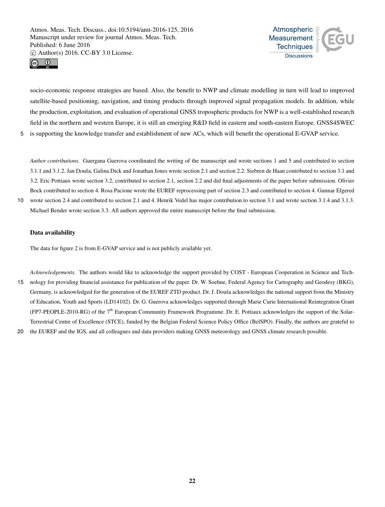



socio-economic response strategies are based. Also, the benefit to NWP and climate modelling in turn will lead to improved satellite-based positioning, navigation, and timing products through improved signal propagation models. In addition, while the production, exploitation, and evaluation of operational GNSS tropospheric products for NWP is a well-established research field in the northern and western Europe, it is still an emerging R&D field in eastern and south-eastern Europe. GNSS4SWEC 5 is supporting the knowledge transfer and establishment of new ACs, which will benefit the operational E-GVAP service.

*Author contributions.* Guergana Guerova coordinated the writing of the manuscript and wrote sections 1 and 5 and contributed to section 3.1.1 and 3.1.2. Jan Douša, Galina Dick and Jonathan Jones wrote section 2.1 and section 2.2. Siebren de Haan contributed to section 3.1 and 3.2. Eric Pottiaux wrote section 3.2, contributed to section 2.1, section 2.2 and did final adjustments of the paper before submission. Olivier Bock contributed to section 4. Rosa Pacione wrote the EUREF reprocessing part of section 2.3 and contributed to section 4. Gunnar Elgered

10 wrote section 2.4 and contributed to section 2.1 and 4. Henrik Vedel has major contribution to section 3.1 and wrote section 3.1.4 and 3.1.3. Michael Bender wrote section 3.3. All authors approved the entire manuscript before the final submission.

## Data availability

The data for figure 2 is from E-GVAP service and is not publicly available yet.

*Acknowledgements.* The authors would like to acknowledge the support provided by COST - European Cooperation in Science and Tech-15 nology for providing financial assistance for publication of the paper. Dr. W. Soehne, Federal Agency for Cartography and Geodesy (BKG), Germany, is acknowledged for the generation of the EUREF ZTD product. Dr. J. Douša acknowledges the national support from the Ministry of Education, Youth and Sports (LD14102). Dr. G. Guerova acknowledges supported through Marie Curie International Reintegration Grant (FP7-PEOPLE-2010-RG) of the 7<sup>th</sup> European Community Framework Programme. Dr. E. Pottiaux acknowledges the support of the Solar-Terrestrial Centre of Excellence (STCE), funded by the Belgian Federal Science Policy Office (BelSPO). Finally, the authors are grateful to

20 the EUREF and the IGS, and all colleagues and data providers making GNSS meteorology and GNSS climate research possible.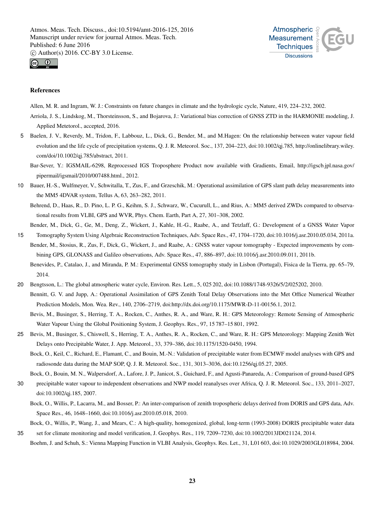



## References

Allen, M. R. and Ingram, W. J.: Constraints on future changes in climate and the hydrologic cycle, Nature, 419, 224–232, 2002.

- Arriola, J. S., Lindskog, M., Thorsteinsson, S., and Bojarova, J.: Variational bias correction of GNSS ZTD in the HARMONIE modeling, J. Applied Metetorol., accepted, 2016.
- 5 Baelen, J. V., Reverdy, M., Tridon, F., Labbouz, L., Dick, G., Bender, M., and M.Hagen: On the relationship between water vapour field evolution and the life cycle of precipitation systems, Q. J. R. Meteorol. Soc., 137, 204–223, doi:10.1002/qj.785, http://onlinelibrary.wiley. com/doi/10.1002/qj.785/abstract, 2011.
	- Bar-Sever, Y.: IGSMAIL-6298, Reprocessed IGS Troposphere Product now available with Gradients, Email, http://igscb.jpl.nasa.gov/ pipermail/igsmail/2010/007488.html., 2012.
- 10 Bauer, H.-S., Wulfmeyer, V., Schwitalla, T., Zus, F., and Grzeschik, M.: Operational assimilation of GPS slant path delay measurements into the MM5 4DVAR system, Tellus A, 63, 263–282, 2011.

Behrend, D., Haas, R., D. Pino, L. P. G., Keihm, S. J., Schwarz, W., Cucurull, L., and Rius, A.: MM5 derived ZWDs compared to observational results from VLBI, GPS and WVR, Phys. Chem. Earth, Part A, 27, 301–308, 2002.

Bender, M., Dick, G., Ge, M., Deng, Z., Wickert, J., Kahle, H.-G., Raabe, A., and Tetzlaff, G.: Development of a GNSS Water Vapor 15 Tomography System Using Algebraic Reconstruction Techniques, Adv. Space Res., 47, 1704–1720, doi:10.1016/j.asr.2010.05.034, 2011a.

- Bender, M., Stosius, R., Zus, F., Dick, G., Wickert, J., and Raabe, A.: GNSS water vapour tomography Expected improvements by combining GPS, GLONASS and Galileo observations, Adv. Space Res., 47, 886–897, doi:10.1016/j.asr.2010.09.011, 2011b.
	- Benevides, P., Catalao, J., and Miranda, P. M.: Experimental GNSS tomography study in Lisbon (Portugal), Fisica de la Tierra, pp. 65–79, 2014.
- 20 Bengtsson, L.: The global atmospheric water cycle, Environ. Res. Lett., 5, 025 202, doi:10.1088/1748-9326/5/2/025202, 2010. Bennitt, G. V. and Jupp, A.: Operational Assimilation of GPS Zenith Total Delay Observations into the Met Office Numerical Weather Prediction Models, Mon. Wea. Rev., 140, 2706–2719, doi:http://dx.doi.org/10.1175/MWR-D-11-00156.1, 2012.

Bevis, M., Businger, S., Herring, T. A., Rocken, C., Anthes, R. A., and Ware, R. H.: GPS Meteorology: Remote Sensing of Atmospheric Water Vapour Using the Global Positioning System, J. Geophys. Res., 97, 15 787–15 801, 1992.

- 25 Bevis, M., Businger, S., Chiswell, S., Herring, T. A., Anthes, R. A., Rocken, C., and Ware, R. H.: GPS Meteorology: Mapping Zenith Wet Delays onto Precipitable Water, J. App. Meteorol., 33, 379–386, doi:10.1175/1520-0450, 1994.
	- Bock, O., Keil, C., Richard, E., Flamant, C., and Bouin, M.-N.: Validation of precipitable water from ECMWF model analyses with GPS and radiosonde data during the MAP SOP, Q. J. R. Meteorol. Soc., 131, 3013–3036, doi:10.1256/qj.05.27, 2005.

Bock, O., Bouin, M. N., Walpersdorf, A., Lafore, J. P., Janicot, S., Guichard, F., and Agusti-Panareda, A.: Comparison of ground-based GPS

- 30 precipitable water vapour to independent observations and NWP model reanalyses over Africa, Q. J. R. Meteorol. Soc., 133, 2011–2027, doi:10.1002/qj.185, 2007.
	- Bock, O., Willis, P., Lacarra, M., and Bosser, P.: An inter-comparison of zenith tropospheric delays derived from DORIS and GPS data, Adv. Space Res., 46, 1648–1660, doi:10.1016/j.asr.2010.05.018, 2010.

Bock, O., Willis, P., Wang, J., and Mears, C.: A high-quality, homogenized, global, long-term (1993-2008) DORIS precipitable water data 35 set for climate monitoring and model verification, J. Geophys. Res., 119, 7209–7230, doi:10.1002/2013JD021124, 2014.

Boehm, J. and Schuh, S.: Vienna Mapping Function in VLBI Analysis, Geophys. Res. Let., 31, L01 603, doi:10.1029/2003GL018984, 2004.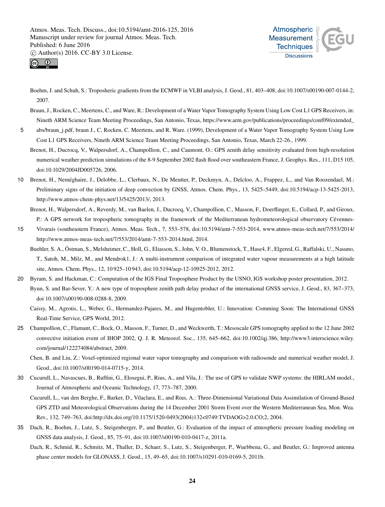



Boehm, J. and Schuh, S.: Troposheric gradients from the ECMWF in VLBI analysis, J. Geod., 81, 403–408, doi:10.1007/s00190-007-0144-2, 2007.

Braun, J., Rocken, C., Meertens, C., and Ware, R.: Development of a Water Vapor Tomography System Using Low Cost L1 GPS Receivers, in: Nineth ARM Science Team Meeting Proceedings, San Antonio, Texas, https://www.arm.gov/publications/proceedings/conf09/extended\_

5 abs/braun\_j.pdf, braun J., C. Rocken, C. Meertens, and R. Ware. (1999), Development of a Water Vapor Tomography System Using Low Cost L1 GPS Receivers, Nineth ARM Science Team Meeting Proceedings, San Antonio, Texas, March 22-26., 1999.

Brenot, H., Ducrocq, V., Walpersdorf, A., Champollion, C., and Caumont, O.: GPS zenith delay sensitivity evaluated from high-resolution numerical weather prediction simulations of the 8-9 September 2002 flash flood over southeastern France, J. Geophys. Res., 111, D15 105, doi:10.1029/2004JD005726, 2006.

10 Brenot, H., Neméghaire, J., Delobbe, L., Clerbaux, N., De Meutter, P., Deckmyn, A., Delcloo, A., Frappez, L., and Van Roozendael, M.: Preliminary signs of the initiation of deep convection by GNSS, Atmos. Chem. Phys., 13, 5425–5449, doi:10.5194/acp-13-5425-2013, http://www.atmos-chem-phys.net/13/5425/2013/, 2013.

Brenot, H., Walpersdorf, A., Reverdy, M., van Baelen, J., Ducrocq, V., Champollion, C., Masson, F., Doerflinger, E., Collard, P., and Giroux, P.: A GPS network for tropospheric tomography in the framework of the Mediterranean hydrometeorological observatory Cévennes-

- 15 Vivarais (southeastern France), Atmos. Meas. Tech., 7, 553–578, doi:10.5194/amt-7-553-2014, www.atmos-meas-tech.net/7/553/2014/ http://www.atmos-meas-tech.net/7/553/2014/amt-7-553-2014.html, 2014.
	- Buehler, S. A., Östman, S., Melsheimer, C., Holl, G., Eliasson, S., John, V. O., Blumenstock, T., Hase4, F., Elgered, G., Raffalski, U., Nasuno, T., Satoh, M., Milz, M., and Mendrok1, J.: A multi-instrument comparison of integrated water vapour measurements at a high latitude site, Atmos. Chem. Phys., 12, 10 925–10 943, doi:10.5194/acp-12-10925-2012, 2012.
- 20 Byram, S. and Hackman, C.: Computation of the IGS Final Troposphere Product by the USNO, IGS workshop poster presentation, 2012. Byun, S. and Bar-Sever, Y.: A new type of troposphere zenith path delay product of the international GNSS service, J. Geod., 83, 367–373, doi 10.1007/s00190-008-0288-8, 2009.

Caissy, M., Agrotis, L., Weber, G., Hermandez-Pajares, M., and Hugentobler, U.: Innovation: Comming Soon: The International GNSS Real-Time Service, GPS World, 2012.

25 Champollion, C., Flamant, C., Bock, O., Masson, F., Turner, D., and Weckwerth, T.: Mesoscale GPS tomography applied to the 12 June 2002 convective initiation event of IHOP 2002, Q. J. R. Meteorol. Soc., 135, 645–662, doi:10.1002/qj.386, http://www3.interscience.wiley. com/journal/122274084/abstract, 2009.

Chen, B. and Liu, Z.: Voxel-optimized regional water vapor tomography and comparison with radiosonde and numerical weather model, J. Geod., doi:10.1007/s00190-014-0715-y, 2014.

- 30 Cucurull, L., Navascues, B., Ruffini, G., Elosegui, P., Rius, A., and Vila, J.: The use of GPS to validate NWP systems: the HIRLAM model., Journal of Atmospheric and Oceanic Technology, 17, 773–787, 2000.
	- Cucurull, L., van den Berghe, F., Barker, D., Vilaclara, E., and Rius, A.: Three-Dimensional Variational Data Assimilation of Ground-Based GPS ZTD and Meteorological Observations during the 14 December 2001 Storm Event over the Western Mediterranean Sea, Mon. Wea. Rev., 132, 749–763, doi:http://dx.doi.org/10.1175/1520-0493(2004)132<0749:TVDAOG>2.0.CO;2, 2004.
- 35 Dach, R., Boehm, J., Lutz, S., Steigenberger, P., and Beutler, G.: Evaluation of the impact of atmospheric pressure loading modeling on GNSS data analysis, J. Geod., 85, 75–91, doi:10.1007/s00190-010-0417-z, 2011a.
	- Dach, R., Schmid, R., Schmitz, M., Thaller, D., Schaer, S., Lutz, S., Steigenberger, P., Wuebbena, G., and Beutler, G.: Improved antenna phase center models for GLONASS, J. Geod., 15, 49–65, doi:10.1007/s10291-010-0169-5, 2011b.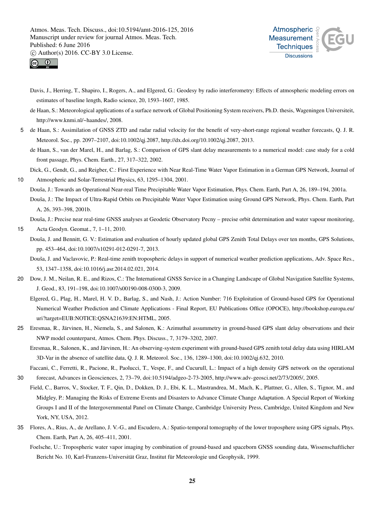



- Davis, J., Herring, T., Shapiro, I., Rogers, A., and Elgered, G.: Geodesy by radio interferometry: Effects of atmospheric modeling errors on estimates of baseline length, Radio science, 20, 1593–1607, 1985.
- de Haan, S.: Meteorological applications of a surface network of Global Positioning System receivers, Ph.D. thesis, Wageningen Universiteit, http://www.knmi.nl/~haandes/, 2008.
- 5 de Haan, S.: Assimilation of GNSS ZTD and radar radial velocity for the benefit of very-short-range regional weather forecasts, Q. J. R. Meteorol. Soc., pp. 2097–2107, doi:10.1002/qj.2087, http://dx.doi.org/10.1002/qj.2087, 2013.
	- de Haan, S., van der Marel, H., and Barlag, S.: Comparison of GPS slant delay measurements to a numerical model: case study for a cold front passage, Phys. Chem. Earth., 27, 317–322, 2002.

Dick, G., Gendt, G., and Reigber, C.: First Experience with Near Real-Time Water Vapor Estimation in a German GPS Network, Journal of 10 Atmospheric and Solar-Terrestrial Physics, 63, 1295–1304, 2001.

Douša, J.: Towards an Operational Near-real Time Precipitable Water Vapor Estimation, Phys. Chem. Earth, Part A, 26, 189–194, 2001a.

Douša, J.: The Impact of Ultra-Rapid Orbits on Precipitable Water Vapor Estimation using Ground GPS Network, Phys. Chem. Earth, Part A, 26, 393–398, 2001b.

Douša, J.: Precise near real-time GNSS analyses at Geodetic Observatory Pecny – precise orbit determination and water vapour monitoring,

- 15 Acta Geodyn. Geomat., 7, 1–11, 2010.
	- Douša, J. and Bennitt, G. V.: Estimation and evaluation of hourly updated global GPS Zenith Total Delays over ten months, GPS Solutions, pp. 453–464, doi:10.1007/s10291-012-0291-7, 2013.
		- Douša, J. and Vaclavovic, P.: Real-time zenith tropospheric delays in support of numerical weather prediction applications, Adv. Space Res., 53, 1347–1358, doi:10.1016/j.asr.2014.02.021, 2014.
- 20 Dow, J. M., Neilan, R. E., and Rizos, C.: The International GNSS Service in a Changing Landscape of Global Navigation Satellite Systems, J. Geod., 83, 191–198, doi:10.1007/s00190-008-0300-3, 2009.

Elgered, G., Plag, H., Marel, H. V. D., Barlag, S., and Nash, J.: Action Number: 716 Exploitation of Ground-based GPS for Operational Numerical Weather Prediction and Climate Applications - Final Report, EU Publications Office (OPOCE), http://bookshop.europa.eu/ uri?target=EUB:NOTICE:QSNA21639:EN:HTML, 2005.

- 25 Eresmaa, R., Järvinen, H., Niemela, S., and Salonen, K.: Azimuthal assummetry in ground-based GPS slant delay observations and their NWP model counterparst, Atmos. Chem. Phys. Discuss., 7, 3179–3202, 2007.
	- Eresmaa, R., Salonen, K., and Järvinen, H.: An observing-system experiment with ground-based GPS zenith total delay data using HIRLAM 3D-Var in the absence of satellite data, Q. J. R. Meteorol. Soc., 136, 1289–1300, doi:10.1002/qj.632, 2010.
- Faccani, C., Ferretti, R., Pacione, R., Paolucci, T., Vespe, F., and Cucurull, L.: Impact of a high density GPS network on the operational 30 forecast, Advances in Geosciences, 2, 73–79, doi:10.5194/adgeo-2-73-2005, http://www.adv-geosci.net/2/73/2005/, 2005.
- Field, C., Barros, V., Stocker, T. F., Qin, D., Dokken, D. J., Ebi, K. L., Mastrandrea, M., Mach, K., Plattner, G., Allen, S., Tignor, M., and Midgley, P.: Managing the Risks of Extreme Events and Disasters to Advance Climate Change Adaptation. A Special Report of Working Groups I and II of the Intergovernmental Panel on Climate Change, Cambridge University Press, Cambridge, United Kingdom and New York, NY, USA, 2012.
- 35 Flores, A., Rius, A., de Arellano, J. V.-G., and Escudero, A.: Spatio-temporal tomography of the lower troposphere using GPS signals, Phys. Chem. Earth, Part A, 26, 405–411, 2001.
	- Foelsche, U.: Tropospheric water vapor imaging by combination of ground-based and spaceborn GNSS sounding data, Wissenschaftlicher Bericht No. 10, Karl-Franzens-Universität Graz, Institut für Meteorologie und Geophysik, 1999.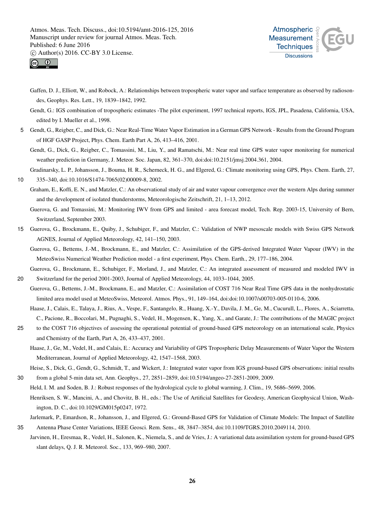



- Gaffen, D. J., Elliott, W., and Robock, A.: Relationships between tropospheric water vapor and surface temperature as observed by radiosondes, Geophys. Res. Lett., 19, 1839–1842, 1992.
- Gendt, G.: IGS combination of tropospheric estimates -The pilot experiment, 1997 technical reports, IGS, JPL, Pasadena, California, USA, edited by I. Mueller et al., 1998.
- 5 Gendt, G., Reigber, C., and Dick, G.: Near Real-Time Water Vapor Estimation in a German GPS Network Results from the Ground Program of HGF GASP Project, Phys. Chem. Earth Part A, 26, 413–416, 2001.
	- Gendt, G., Dick, G., Reigber, C., Tomassini, M., Liu, Y., and Ramatschi, M.: Near real time GPS water vapor monitoring for numerical weather prediction in Germany, J. Meteor. Soc. Japan, 82, 361–370, doi:doi:10.2151/jmsj.2004.361, 2004.
- Gradinarsky, L. P., Johansson, J., Bouma, H. R., Scherneck, H. G., and Elgered, G.: Climate monitoring using GPS, Phys. Chem. Earth, 27, 10 335–340, doi:10.1016/S1474-7065(02)00009-8, 2002.
	- Graham, E., Koffi, E. N., and Matzler, C.: An observational study of air and water vapour convergence over the western Alps during summer and the development of isolated thunderstorms, Meteorologische Zeitschrift, 21, 1–13, 2012.
		- Guerova, G. and Tomassini, M.: Monitoring IWV from GPS and limited area forecast model, Tech. Rep. 2003-15, University of Bern, Switzerland, September 2003.
- 15 Guerova, G., Brockmann, E., Quiby, J., Schubiger, F., and Matzler, C.: Validation of NWP mesoscale models with Swiss GPS Network AGNES, Journal of Applied Meteorology, 42, 141–150, 2003.
	- Guerova, G., Bettems, J.-M., Brockmann, E., and Matzler, C.: Assimilation of the GPS-derived Integrated Water Vapour (IWV) in the MeteoSwiss Numerical Weather Prediction model - a first experiment, Phys. Chem. Earth., 29, 177–186, 2004.

Guerova, G., Brockmann, E., Schubiger, F., Morland, J., and Matzler, C.: An integrated assessment of measured and modeled IWV in 20 Switzerland for the period 2001-2003, Journal of Applied Meteorology, 44, 1033–1044, 2005.

- Guerova, G., Bettems, J.-M., Brockmann, E., and Matzler, C.: Assimilation of COST 716 Near Real Time GPS data in the nonhydrostatic limited area model used at MeteoSwiss, Meteorol. Atmos. Phys., 91, 149–164, doi:doi:10.1007/s00703-005-0110-6, 2006.
	- Haase, J., Calais, E., Talaya, J., Rius, A., Vespe, F., Santangelo, R., Huang, X.-Y., Davila, J. M., Ge, M., Cucurull, L., Flores, A., Sciarretta, C., Pacione, R., Boccolari, M., Pugnaghi, S., Vedel, H., Mogensen, K., Yang, X., and Garate, J.: The contributions of the MAGIC project
- 25 to the COST 716 objectives of assessing the operational potential of ground-based GPS meteorology on an international scale, Physics and Chemistry of the Earth, Part A, 26, 433–437, 2001.
	- Haase, J., Ge, M., Vedel, H., and Calais, E.: Accuracy and Variability of GPS Tropospheric Delay Measurements of Water Vapor the Western Mediterranean, Journal of Applied Meteorology, 42, 1547–1568, 2003.
- Heise, S., Dick, G., Gendt, G., Schmidt, T., and Wickert, J.: Integrated water vapor from IGS ground-based GPS observations: initial results 30 from a global 5-min data set, Ann. Geophys., 27, 2851–2859, doi:10.5194/angeo-27-2851-2009, 2009.
	- Held, I. M. and Soden, B. J.: Robust responses of the hydrological cycle to global warming, J. Clim., 19, 5686–5699, 2006.
	- Henriksen, S. W., Mancini, A., and Chovitz, B. H., eds.: The Use of Artificial Satellites for Geodesy, American Geophysical Union, Washington, D. C., doi:10.1029/GM015p0247, 1972.

Jarlemark, P., Emardson, R., Johansson, J., and Elgered, G.: Ground-Based GPS for Validation of Climate Models: The Impact of Satellite

35 Antenna Phase Center Variations, IEEE Geosci. Rem. Sens., 48, 3847–3854, doi:10.1109/TGRS.2010.2049114, 2010. Jarvinen, H., Eresmaa, R., Vedel, H., Salonen, K., Niemela, S., and de Vries, J.: A variational data assimilation system for ground-based GPS slant delays, Q. J. R. Meteorol. Soc., 133, 969–980, 2007.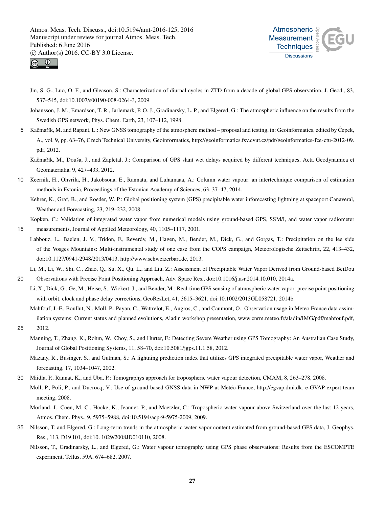



- Jin, S. G., Luo, O. F., and Gleason, S.: Characterization of diurnal cycles in ZTD from a decade of global GPS observation, J. Geod., 83, 537–545, doi:10.1007/s00190-008-0264-3, 2009.
- Johansson, J. M., Emardson, T. R., Jarlemark, P. O. J., Gradinarsky, L. P., and Elgered, G.: The atmospheric influence on the results from the Swedish GPS network, Phys. Chem. Earth, 23, 107–112, 1998.
- 5 Kačmařík, M. and Rapant, L.: New GNSS tomography of the atmosphere method proposal and testing, in: Geoinformatics, edited by Čepek, A., vol. 9, pp. 63–76, Czech Technical University, Geoinformatics, http://geoinformatics.fsv.cvut.cz/pdf/geoinformatics-fce-ctu-2012-09. pdf, 2012.
	- Kačmařík, M., Douša, J., and Zapletal, J.: Comparison of GPS slant wet delays acquired by different techniques, Acta Geodynamica et Geomaterialia, 9, 427–433, 2012.
- 10 Keernik, H., Ohvrila, H., Jakobsona, E., Rannata, and Luhamaaa, A.: Column water vapour: an intertechnique comparison of estimation methods in Estonia, Proceedings of the Estonian Academy of Sciences, 63, 37–47, 2014.

Kehrer, K., Graf, B., and Roeder, W. P.: Global positioning system (GPS) precipitable water inforecasting lightning at spaceport Canaveral, Weather and Forecasting, 23, 219–232, 2008.

Kopken, C.: Validation of integrated water vapor from numerical models using ground-based GPS, SSM/I, and water vapor radiometer

- 15 measurements, Journal of Applied Meteorology, 40, 1105–1117, 2001.
- Labbouz, L., Baelen, J. V., Tridon, F., Reverdy, M., Hagen, M., Bender, M., Dick, G., and Gorgas, T.: Precipitation on the lee side of the Vosges Mountains: Multi-instrumental study of one case from the COPS campaign, Meteorologische Zeitschrift, 22, 413–432, doi:10.1127/0941-2948/2013/0413, http://www.schweizerbart.de, 2013.

Li, M., Li, W., Shi, C., Zhao, Q., Su, X., Qu, L., and Liu, Z.: Assessment of Precipitable Water Vapor Derived from Ground-based BeiDou

- 20 Observations with Precise Point Positioning Approach, Adv. Space Res., doi:10.1016/j.asr.2014.10.010, 2014a. Li, X., Dick, G., Ge, M., Heise, S., Wickert, J., and Bender, M.: Real-time GPS sensing of atmospheric water vapor: precise point positioning
	- with orbit, clock and phase delay corrections, GeoResLet, 41, 3615–3621, doi:10.1002/2013GL058721, 2014b.
- Mahfouf, J.-F., Boullut, N., Moll, P., Payan, C., Wattrelot, E., Augros, C., and Caumont, O.: Observation usage in Meteo France data assimilation systems: Current status and planned evolutions, Aladin workshop presentation, www.cnrm.meteo.fr/aladin/IMG/pdf/mahfouf.pdf, 25 2012.
	- Manning, T., Zhang, K., Rohm, W., Choy, S., and Hurter, F.: Detecting Severe Weather using GPS Tomography: An Australian Case Study, Journal of Global Positioning Systems, 11, 58–70, doi:10.5081/jgps.11.1.58, 2012.
	- Mazany, R., Businger, S., and Gutman, S.: A lightning prediction index that utilizes GPS integrated precipitable water vapor, Weather and forecasting, 17, 1034–1047, 2002.
- 30 Miidla, P., Rannat, K., and Uba, P.: Tomographys approach for tropospheric water vapour detection, CMAM, 8, 263–278, 2008. Moll, P., Poli, P., and Ducrocq, V.: Use of ground based GNSS data in NWP at Météo-France, http://egvap.dmi.dk, e-GVAP expert team meeting, 2008.
	- Morland, J., Coen, M. C., Hocke, K., Jeannet, P., and Maetzler, C.: Tropospheric water vapour above Switzerland over the last 12 years, Atmos. Chem. Phys., 9, 5975–5988, doi:10.5194/acp-9-5975-2009, 2009.
- 35 Nilsson, T. and Elgered, G.: Long-term trends in the atmospheric water vapor content estimated from ground-based GPS data, J. Geophys. Res., 113, D19 101, doi:10. 1029/2008JD010110, 2008.
	- Nilsson, T., Gradinarsky, L., and Elgered, G.: Water vapour tomography using GPS phase observations: Results from the ESCOMPTE experiment, Tellus, 59A, 674–682, 2007.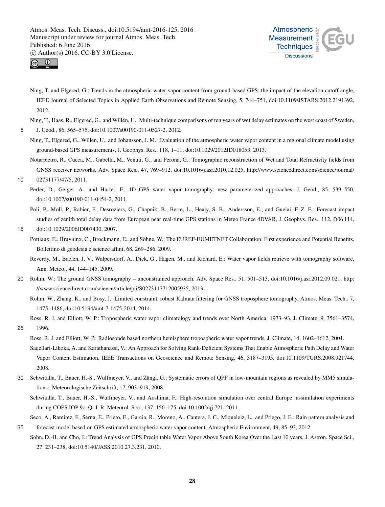



Ning, T. and Elgered, G.: Trends in the atmospheric water vapor content from ground-based GPS: the impact of the elevation cutoff angle, IEEE Journal of Selected Topics in Applied Earth Observations and Remote Sensing, 5, 744–751, doi:10.1109/JSTARS.2012.2191392, 2012.

Ning, T., Haas, R., Elgered, G., and Willén, U.: Multi-technique comparisons of ten years of wet delay estimates on the west coast of Sweden,

5 J. Geod., 86, 565–575, doi:10.1007/s00190-011-0527-2, 2012.

- Ning, T., Elgered, G., Willen, U., and Johansson, J. M.: Evaluation of the atmospheric water vapor content in a regional climate model using ground-based GPS measurements, J. Geophys. Res., 118, 1–11, doi:10.1029/2012JD018053, 2013.
- Notarpietro, R., Cucca, M., Gabella, M., Venuti, G., and Perona, G.: Tomographic reconstruction of Wet and Total Refractivity fields from GNSS receiver networks, Adv. Space Res., 47, 769–912, doi:10.1016/j.asr.2010.12.025, http://www.sciencedirect.com/science/journal/
- 10 02731177/47/5, 2011.

Perler, D., Geiger, A., and Hurter, F.: 4D GPS water vapor tomography: new parameterized approaches, J. Geod., 85, 539-550, doi:10.1007/s00190-011-0454-2, 2011.

Poli, P., Moll, P., Rabier, F., Desroziers, G., Chapnik, B., Berre, L., Healy, S. B., Andersson, E., and Guelai, F.-Z. E.: Forecast impact studies of zenith total delay data from European near real-time GPS stations in Meteo France 4DVAR, J. Geophys. Res., 112, D06 114,

$$
15 \qquad \text{doi:10.1029/2006JD007430, 2007.}
$$

- Pottiaux, E., Bruyninx, C., Brockmann, E., and Söhne, W.: The EUREF-EUMETNET Collaboration: First experience and Potential Benefits, Bollettino di geodesia e scienze affini, 68, 269–286, 2009.
	- Reverdy, M., Baelen, J. V., Walpersdorf, A., Dick, G., Hagen, M., and Richard, E.: Water vapor fields retrieve with tomography software, Ann. Meteo., 44, 144–145, 2009.
- 20 Rohm, W.: The ground GNSS tomography unconstrained approach, Adv. Space Res., 51, 501–513, doi:10.1016/j.asr.2012.09.021, http: //www.sciencedirect.com/science/article/pii/S0273117712005935, 2013.
	- Rohm, W., Zhang, K., and Bosy, J.: Limited constraint, robust Kalman filtering for GNSS troposphere tomography, Atmos. Meas. Tech., 7, 1475–1486, doi:10.5194/amt-7-1475-2014, 2014.
	- Ross, R. J. and Elliott, W. P.: Tropospheric water vapor climatology and trends over North America: 1973–93, J. Climate, 9, 3561–3574,
- 25 1996.
	- Ross, R. J. and Elliott, W. P.: Radiosonde based northern hemisphere tropospheric water vapor trends, J. Climate, 14, 1602–1612, 2001.
	- Saqellari-Likoka, A. and Karathanassi, V.: An Approach for Solving Rank-Deficient Systems That Enable Atmospheric Path Delay and Water Vapor Content Estimation, IEEE Transactions on Geoscience and Remote Sensing, 46, 3187–3195, doi:10.1109/TGRS.2008.921744, 2008.
- 30 Schwitalla, T., Bauer, H.-S., Wulfmeyer, V., and Zängl, G.: Systematic errors of QPF in low-mountain regions as revealed by MM5 simulations., Meteorologische Zeitschrift, 17, 903–919, 2008.
	- Schwitalla, T., Bauer, H.-S., Wulfmeyer, V., and Aoshima, F.: High-resolution simulation over central Europe: assimilation experiments during COPS IOP 9c, Q. J. R. Meteorol. Soc., 137, 156–175, doi:10.1002/qj.721, 2011.

Seco, A., Ramirez, F., Serna, E., Prieto, E., Garcia, R., Moreno, A., Cantera, J. C., Miqueleiz, L., and Priego, J. E.: Rain pattern analysis and

35 forecast model based on GPS estimated atmospheric water vapor content, Atmospheric Environment, 49, 85–93, 2012. Sohn, D.-H. and Cho, J.: Trend Analysis of GPS Precipitable Water Vapor Above South Korea Over the Last 10 years, J. Astron. Space Sci., 27, 231–238, doi:10.5140/JASS.2010.27.3.231, 2010.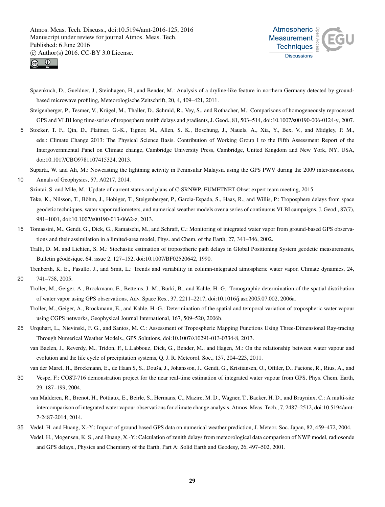



Spaenkuch, D., Gueldner, J., Steinhagen, H., and Bender, M.: Analysis of a dryline-like feature in northern Germany detected by groundbased microwave profiling, Meteorologische Zeitschrift, 20, 4, 409–421, 2011.

Steigenberger, P., Tesmer, V., Krügel, M., Thaller, D., Schmid, R., Vey, S., and Rothacher, M.: Comparisons of homogeneously reprocessed GPS and VLBI long time-series of troposphere zenith delays and gradients, J. Geod., 81, 503–514, doi:10.1007/s00190-006-0124-y, 2007.

5 Stocker, T. F., Qin, D., Plattner, G.-K., Tignor, M., Allen, S. K., Boschung, J., Nauels, A., Xia, Y., Bex, V., and Midgley, P. M., eds.: Climate Change 2013: The Physical Science Basis. Contribution of Working Group I to the Fifth Assessment Report of the Intergovernmental Panel on Climate change, Cambridge University Press, Cambridge, United Kingdom and New York, NY, USA, doi:10.1017/CBO9781107415324, 2013.

Suparta, W. and Ali, M.: Nowcasting the lightning activity in Peninsular Malaysia using the GPS PWV during the 2009 inter-monsoons,

10 Annals of Geophysics, 57, A0217, 2014. Szintai, S. and Mile, M.: Update of current status and plans of C-SRNWP, EUMETNET Obset expert team meeting, 2015. Teke, K., Nilsson, T., Böhm, J., Hobiger, T., Steigenberger, P., Garcia-Espada, S., Haas, R., and Willis, P.: Troposphere delays from space

geodetic techniques, water vapor radiometers, and numerical weather models over a series of continuous VLBI campaigns, J. Geod., 87(7), 981–1001, doi:10.1007/s00190-013-0662-z, 2013.

15 Tomassini, M., Gendt, G., Dick, G., Ramatschi, M., and Schraff, C.: Monitoring of integrated water vapor from ground-based GPS observations and their assimilation in a limited-area model, Phys. and Chem. of the Earth, 27, 341–346, 2002.

Tralli, D. M. and Lichten, S. M.: Stochastic estimation of tropospheric path delays in Global Positioning System geodetic measurements, Bulletin géodésique, 64, issue 2, 127–152, doi:10.1007/BF02520642, 1990.

Trenberth, K. E., Fasullo, J., and Smit, L.: Trends and variability in column-integrated atmospheric water vapor, Climate dynamics, 24,

20 741–758, 2005.

Troller, M., Geiger, A., Brockmann, E., Bettems, J.-M., Bürki, B., and Kahle, H.-G.: Tomographic determination of the spatial distribution of water vapor using GPS observations, Adv. Space Res., 37, 2211–2217, doi:10.1016/j.asr.2005.07.002, 2006a.

Troller, M., Geiger, A., Brockmann, E., and Kahle, H.-G.: Determination of the spatial and temporal variation of tropospheric water vapour using CGPS networks, Geophysical Journal International, 167, 509–520, 2006b.

25 Urquhart, L., Nievinski, F. G., and Santos, M. C.: Assessment of Tropospheric Mapping Functions Using Three-Dimensional Ray-tracing Through Numerical Weather Models., GPS Solutions, doi:10.1007/s10291-013-0334-8, 2013.

van Baelen, J., Reverdy, M., Tridon, F., L.Labbouz, Dick, G., Bender, M., and Hagen, M.: On the relationship between water vapour and evolution and the life cycle of precipitation systems, Q. J. R. Meteorol. Soc., 137, 204–223, 2011.

van der Marel, H., Brockmann, E., de Haan S, S., Douša, J., Johansson, J., Gendt, G., Kristiansen, O., Offiler, D., Pacione, R., Rius, A., and

30 Vespe, F.: COST-716 demonstration project for the near real-time estimation of integrated water vapour from GPS, Phys. Chem. Earth, 29, 187–199, 2004.

van Malderen, R., Brenot, H., Pottiaux, E., Beirle, S., Hermans, C., Mazire, M. D., Wagner, T., Backer, H. D., and Bruyninx, C.: A multi-site intercomparison of integrated water vapour observations for climate change analysis, Atmos. Meas. Tech., 7, 2487–2512, doi:10.5194/amt-7-2487-2014, 2014.

35 Vedel, H. and Huang, X.-Y.: Impact of ground based GPS data on numerical weather prediction, J. Meteor. Soc. Japan, 82, 459–472, 2004. Vedel, H., Mogensen, K. S., and Huang, X.-Y.: Calculation of zenith delays from meteorological data comparison of NWP model, radiosonde and GPS delays., Physics and Chemistry of the Earth, Part A: Solid Earth and Geodesy, 26, 497–502, 2001.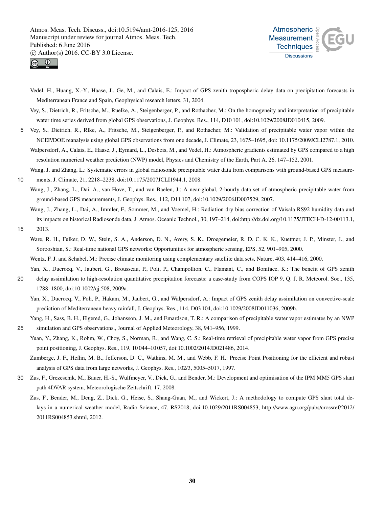



- Vedel, H., Huang, X.-Y., Haase, J., Ge, M., and Calais, E.: Impact of GPS zenith tropospheric delay data on precipitation forecasts in Mediterranean France and Spain, Geophysical research letters, 31, 2004.
- Vey, S., Dietrich, R., Fritsche, M., Ruelke, A., Steigenberger, P., and Rothacher, M.: On the homogeneity and interpretation of precipitable water time series derived from global GPS observations, J. Geophys. Res., 114, D10 101, doi:10.1029/2008JD010415, 2009.
- 5 Vey, S., Dietrich, R., Rlke, A., Fritsche, M., Steigenberger, P., and Rothacher, M.: Validation of precipitable water vapor within the NCEP/DOE reanalysis using global GPS observations from one decade, J. Climate, 23, 1675–1695, doi: 10.1175/2009JCLI2787.1, 2010.
	- Walpersdorf, A., Calais, E., Haase, J., Eymard, L., Desbois, M., and Vedel, H.: Atmospheric gradients estimated by GPS compared to a high resolution numerical weather prediction (NWP) model, Physics and Chemistry of the Earth, Part A, 26, 147–152, 2001.
- Wang, J. and Zhang, L.: Systematic errors in global radiosonde precipitable water data from comparisons with ground-based GPS measure-10 ments, J. Climate, 21, 2218–2238, doi:10.1175/2007JCLI1944.1, 2008.
	- Wang, J., Zhang, L., Dai, A., van Hove, T., and van Baelen, J.: A near-global, 2-hourly data set of atmospheric precipitable water from ground-based GPS measurements, J. Geophys. Res., 112, D11 107, doi:10.1029/2006JD007529, 2007.
	- Wang, J., Zhang, L., Dai, A., Immler, F., Sommer, M., and Voemel, H.: Radiation dry bias correction of Vaisala RS92 humidity data and its impacts on historical Radiosonde data, J. Atmos. Oceanic Technol., 30, 197–214, doi:http://dx.doi.org/10.1175/JTECH-D-12-00113.1,
- 15 2013.
	- Ware, R. H., Fulker, D. W., Stein, S. A., Anderson, D. N., Avery, S. K., Droegemeier, R. D. C. K. K., Kuettner, J. P., Minster, J., and Sorooshian, S.: Real-time national GPS networks: Opportunities for atmospheric sensing, EPS, 52, 901–905, 2000.
	- Wentz, F. J. and Schabel, M.: Precise climate monitoring using complementary satellite data sets, Nature, 403, 414–416, 2000.
- Yan, X., Ducrocq, V., Jaubert, G., Brousseau, P., Poli, P., Champollion, C., Flamant, C., and Boniface, K.: The benefit of GPS zenith 20 delay assimilation to high-resolution quantitative precipitation forecasts: a case-study from COPS IOP 9, Q. J. R. Meteorol. Soc., 135,
	- 1788–1800, doi:10.1002/qj.508, 2009a. Yan, X., Ducrocq, V., Poli, P., Hakam, M., Jaubert, G., and Walpersdorf, A.: Impact of GPS zenith delay assimilation on convective-scale prediction of Mediterranean heavy rainfall, J. Geophys. Res., 114, D03 104, doi:10.1029/2008JD011036, 2009b.
- Yang, H., Sass, B. H., Elgered, G., Johansson, J. M., and Emardson, T. R.: A comparison of precipitable water vapor estimates by an NWP 25 simulation and GPS observations., Journal of Applied Meteorology, 38, 941–956, 1999.
	- Yuan, Y., Zhang, K., Rohm, W., Choy, S., Norman, R., and Wang, C. S.: Real-time retrieval of precipitable water vapor from GPS precise point positioning, J. Geophys. Res., 119, 10 044–10 057, doi:10.1002/2014JD021486, 2014.
	- Zumberge, J. F., Heflin, M. B., Jefferson, D. C., Watkins, M. M., and Webb, F. H.: Precise Point Positioning for the efficient and robust analysis of GPS data from large networks, J. Geophys. Res., 102/3, 5005–5017, 1997.
- 30 Zus, F., Grezeschik, M., Bauer, H.-S., Wulfmeyer, V., Dick, G., and Bender, M.: Development and optimisation of the IPM MM5 GPS slant path 4DVAR system, Meteorologische Zeitschrift, 17, 2008.
	- Zus, F., Bender, M., Deng, Z., Dick, G., Heise, S., Shang-Guan, M., and Wickert, J.: A methodology to compute GPS slant total delays in a numerical weather model, Radio Science, 47, RS2018, doi:10.1029/2011RS004853, http://www.agu.org/pubs/crossref/2012/ 2011RS004853.shtml, 2012.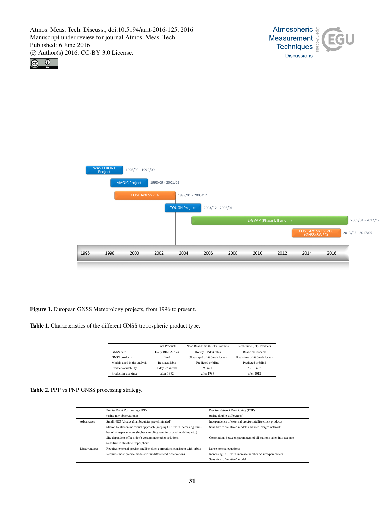





Figure 1. European GNSS Meteorology projects, from 1996 to present.

Table 1. Characteristics of the different GNSS tropospheric product type.

|                             | <b>Final Products</b> | Near Real-Time (NRT) Products  | Real-Time (RT) Products      |
|-----------------------------|-----------------------|--------------------------------|------------------------------|
| GNSS data                   | Daily RINEX files     | Hourly RINEX files             | Real-time streams            |
| <b>GNSS</b> products        | Final                 | Ultra-rapid orbit (and clocks) | Real-time orbit (and clocks) |
| Models used in the analysis | Best available        | Predicted or blind             | Predicted or blind           |
| Product availability        | 1 day - 2 weeks       | $90 \text{ min}$               | $5 - 10$ min                 |
| Product in use since        | after 1992.           | after 1999                     | after 2012                   |

Table 2. PPP vs PNP GNSS processing strategy.

|                      | Precise Point Positioning (PPP)                                              | Precise Network Positioning (PNP)                                  |
|----------------------|------------------------------------------------------------------------------|--------------------------------------------------------------------|
|                      | (using raw observations)                                                     | (using double-differences)                                         |
| Advantages           | Small NEQ (clocks & ambiguities pre-eliminated)                              | Independence of external precise satellite clock products          |
|                      | Station by station individual approach (keeping CPU with increasing num-     | Sensitive to "relative" models and need "large" network            |
|                      | ber of sites/parameters (higher sampling rate, improved modeling etc.)       |                                                                    |
|                      | Site dependent effects don't contaminate other solutions                     | Correlations between parameters of all stations taken into account |
|                      | Sensitive to absolute troposphere                                            |                                                                    |
| <b>Disadvantages</b> | Requires external precise satellite clock corrections consistent with orbits | Large normal equations                                             |
|                      | Requires most precise models for undifferenced observations                  | Increasing CPU with increase number of sites/parameters            |
|                      |                                                                              | Sensitive to "relative" model                                      |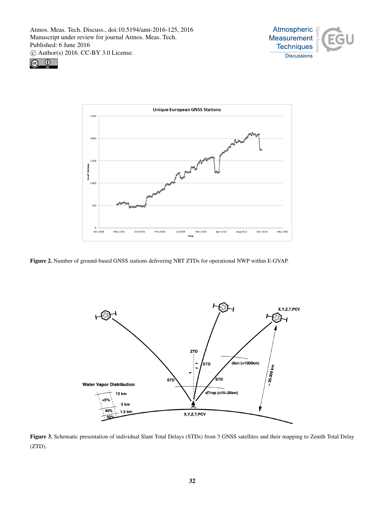





Figure 2. Number of ground-based GNSS stations delivering NRT ZTDs for operational NWP within E-GVAP.



Figure 3. Schematic presentation of individual Slant Total Delays (STDs) from 3 GNSS satellites and their mapping to Zenith Total Delay (ZTD).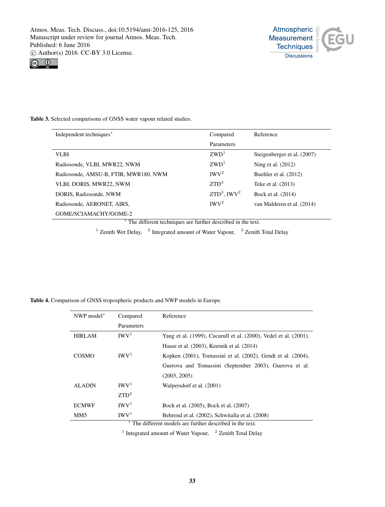



# Table 3. Selected comparisons of GNSS water vapour related studies.

| Independent techniques*                                                      | Compared                                                                                                          | Reference                   |
|------------------------------------------------------------------------------|-------------------------------------------------------------------------------------------------------------------|-----------------------------|
|                                                                              | Parameters                                                                                                        |                             |
| VLBI                                                                         | ZWD <sup>1</sup>                                                                                                  | Steigenberger et al. (2007) |
| Radiosonde, VLBI, MWR22, NWM                                                 | ZWD <sup>1</sup>                                                                                                  | Ning et al. $(2012)$        |
| Radiosonde, AMSU-B, FTIR, MWR180, NWM                                        | IWV <sup>2</sup>                                                                                                  | Buehler et al. (2012)       |
| VLBI, DORIS, MWR22, NWM                                                      | ZTD <sup>3</sup>                                                                                                  | Teke et al. (2013)          |
| DORIS, Radiosonde, NWM                                                       | $ZTD^3$ , IWV <sup>2</sup>                                                                                        | Bock et al. (2014)          |
| Radiosonde, AERONET, AIRS,                                                   | IWV <sup>2</sup>                                                                                                  | van Malderen et al. (2014)  |
| GOME/SCIAMACHY/GOME-2                                                        |                                                                                                                   |                             |
| the contract of the contract of the<br>1.00<br>$\mathbf{r}$ and $\mathbf{r}$ | the company of the company of the company of the company of the company of the company of<br>$\sim$ $\sim$ $\sim$ |                             |

<sup>∗</sup> The different techniques are further described in the text.

<sup>1</sup> Zenith Wet Delay,  $\frac{1}{2}$  Integrated amount of Water Vapour,  $\frac{3}{2}$  Zenith Total Delay

Table 4. Comparison of GNSS tropospheric products and NWP models in Europe.

| NWP model*                                              | Compared         | Reference                                                        |
|---------------------------------------------------------|------------------|------------------------------------------------------------------|
|                                                         | Parameters       |                                                                  |
| <b>HIRLAM</b>                                           | IWV <sup>1</sup> | Yang et al. (1999), Cucurull et al. (2000), Vedel et al. (2001), |
|                                                         |                  | Haase et al. (2003), Keernik et al. (2014)                       |
| COSMO                                                   | IWV <sup>1</sup> | Kopken (2001), Tomassini et al. (2002), Gendt et al. (2004),     |
|                                                         |                  | Guerova and Tomassini (September 2003), Guerova et al.           |
|                                                         |                  | (2003, 2005)                                                     |
| ALADIN                                                  | IWV <sup>1</sup> | Walpersdorf et al. (2001)                                        |
|                                                         | $ZTD^2$          |                                                                  |
| <b>ECMWF</b>                                            | IWV <sup>1</sup> | Bock et al. (2005), Bock et al. (2007)                           |
| MM <sub>5</sub>                                         | IWV <sup>1</sup> | Behrend et al. (2002), Schwitalla et al. (2008)                  |
| The different models are further described in the text. |                  |                                                                  |

<sup>1</sup> Integrated amount of Water Vapour,  $\frac{2}{3}$  Zenith Total Delay